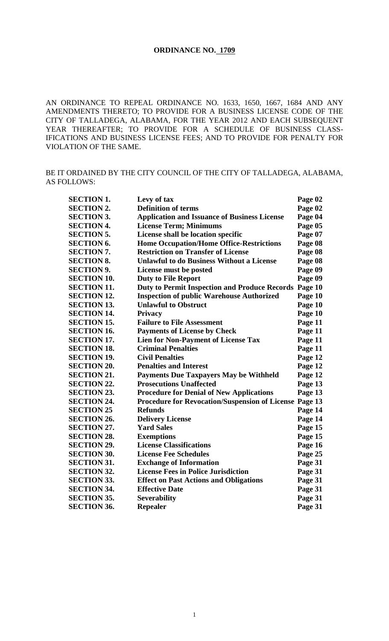#### **ORDINANCE NO. 1709**

AN ORDINANCE TO REPEAL ORDINANCE NO. 1633, 1650, 1667, 1684 AND ANY AMENDMENTS THERETO; TO PROVIDE FOR A BUSINESS LICENSE CODE OF THE CITY OF TALLADEGA, ALABAMA, FOR THE YEAR 2012 AND EACH SUBSEQUENT YEAR THEREAFTER; TO PROVIDE FOR A SCHEDULE OF BUSINESS CLASS-IFICATIONS AND BUSINESS LICENSE FEES; AND TO PROVIDE FOR PENALTY FOR VIOLATION OF THE SAME.

### BE IT ORDAINED BY THE CITY COUNCIL OF THE CITY OF TALLADEGA, ALABAMA, AS FOLLOWS:

| <b>SECTION 1.</b>  | Levy of tax                                                   | Page 02 |
|--------------------|---------------------------------------------------------------|---------|
| <b>SECTION 2.</b>  | <b>Definition of terms</b>                                    | Page 02 |
| <b>SECTION 3.</b>  | <b>Application and Issuance of Business License</b>           | Page 04 |
| <b>SECTION 4.</b>  | <b>License Term; Minimums</b>                                 | Page 05 |
| <b>SECTION 5.</b>  | License shall be location specific                            | Page 07 |
| <b>SECTION 6.</b>  | <b>Home Occupation/Home Office-Restrictions</b>               | Page 08 |
| <b>SECTION 7.</b>  | <b>Restriction on Transfer of License</b>                     | Page 08 |
| <b>SECTION 8.</b>  | <b>Unlawful to do Business Without a License</b>              | Page 08 |
| <b>SECTION 9.</b>  | License must be posted                                        | Page 09 |
| <b>SECTION 10.</b> | <b>Duty to File Report</b>                                    | Page 09 |
| <b>SECTION 11.</b> | <b>Duty to Permit Inspection and Produce Records</b>          | Page 10 |
| <b>SECTION 12.</b> | <b>Inspection of public Warehouse Authorized</b>              | Page 10 |
| <b>SECTION 13.</b> | <b>Unlawful to Obstruct</b>                                   | Page 10 |
| <b>SECTION 14.</b> | <b>Privacy</b>                                                | Page 10 |
| <b>SECTION 15.</b> | <b>Failure to File Assessment</b>                             | Page 11 |
| <b>SECTION 16.</b> | <b>Payments of License by Check</b>                           | Page 11 |
| <b>SECTION 17.</b> | <b>Lien for Non-Payment of License Tax</b>                    | Page 11 |
| <b>SECTION 18.</b> | <b>Criminal Penalties</b>                                     | Page 11 |
| <b>SECTION 19.</b> | <b>Civil Penalties</b>                                        | Page 12 |
| <b>SECTION 20.</b> | <b>Penalties and Interest</b>                                 | Page 12 |
| <b>SECTION 21.</b> | <b>Payments Due Taxpayers May be Withheld</b>                 | Page 12 |
| <b>SECTION 22.</b> | <b>Prosecutions Unaffected</b>                                | Page 13 |
| <b>SECTION 23.</b> | <b>Procedure for Denial of New Applications</b>               | Page 13 |
| <b>SECTION 24.</b> | <b>Procedure for Revocation/Suspension of License Page 13</b> |         |
| <b>SECTION 25</b>  | <b>Refunds</b>                                                | Page 14 |
| <b>SECTION 26.</b> | <b>Delivery License</b>                                       | Page 14 |
| <b>SECTION 27.</b> | <b>Yard Sales</b>                                             | Page 15 |
| <b>SECTION 28.</b> | <b>Exemptions</b>                                             | Page 15 |
| <b>SECTION 29.</b> | <b>License Classifications</b>                                | Page 16 |
| <b>SECTION 30.</b> | <b>License Fee Schedules</b>                                  | Page 25 |
| <b>SECTION 31.</b> | <b>Exchange of Information</b>                                | Page 31 |
| <b>SECTION 32.</b> | <b>License Fees in Police Jurisdiction</b>                    | Page 31 |
| <b>SECTION 33.</b> | <b>Effect on Past Actions and Obligations</b>                 | Page 31 |
| <b>SECTION 34.</b> | <b>Effective Date</b>                                         | Page 31 |
| <b>SECTION 35.</b> | <b>Severability</b>                                           | Page 31 |
| <b>SECTION 36.</b> | <b>Repealer</b>                                               | Page 31 |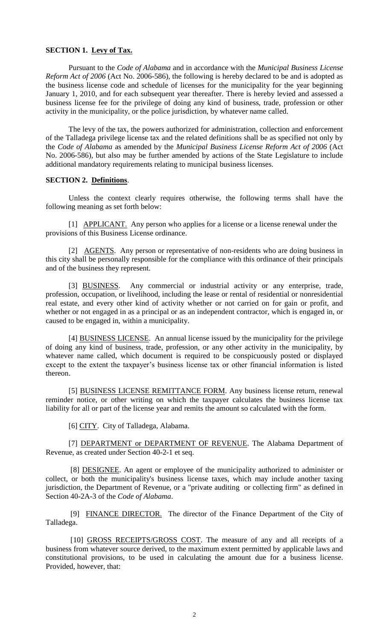### **SECTION 1. Levy of Tax.**

Pursuant to the *Code of Alabama* and in accordance with the *Municipal Business License Reform Act of 2006* (Act No. 2006-586)*,* the following is hereby declared to be and is adopted as the business license code and schedule of licenses for the municipality for the year beginning January 1, 2010, and for each subsequent year thereafter. There is hereby levied and assessed a business license fee for the privilege of doing any kind of business, trade, profession or other activity in the municipality, or the police jurisdiction, by whatever name called.

The levy of the tax, the powers authorized for administration, collection and enforcement of the Talladega privilege license tax and the related definitions shall be as specified not only by the *Code of Alabama* as amended by the *Municipal Business License Reform Act of 2006* (Act No. 2006-586), but also may be further amended by actions of the State Legislature to include additional mandatory requirements relating to municipal business licenses.

### **SECTION 2. Definitions**.

Unless the context clearly requires otherwise, the following terms shall have the following meaning as set forth below:

[1] APPLICANT. Any person who applies for a license or a license renewal under the provisions of this Business License ordinance.

[2] AGENTS. Any person or representative of non-residents who are doing business in this city shall be personally responsible for the compliance with this ordinance of their principals and of the business they represent.

[3] BUSINESS. Any commercial or industrial activity or any enterprise, trade, profession, occupation, or livelihood, including the lease or rental of residential or nonresidential real estate, and every other kind of activity whether or not carried on for gain or profit, and whether or not engaged in as a principal or as an independent contractor, which is engaged in, or caused to be engaged in, within a municipality.

[4] BUSINESS LICENSE. An annual license issued by the municipality for the privilege of doing any kind of business, trade, profession, or any other activity in the municipality, by whatever name called, which document is required to be conspicuously posted or displayed except to the extent the taxpayer's business license tax or other financial information is listed thereon.

[5] BUSINESS LICENSE REMITTANCE FORM. Any business license return, renewal reminder notice, or other writing on which the taxpayer calculates the business license tax liability for all or part of the license year and remits the amount so calculated with the form.

[6] CITY. City of Talladega, Alabama.

[7] DEPARTMENT or DEPARTMENT OF REVENUE. The Alabama Department of Revenue, as created under Section 40-2-1 et seq.

[8] DESIGNEE. An agent or employee of the municipality authorized to administer or collect, or both the municipality's business license taxes, which may include another taxing jurisdiction, the Department of Revenue, or a "private auditing or collecting firm" as defined in Section 40-2A-3 of the *Code of Alabama*.

[9] FINANCE DIRECTOR. The director of the Finance Department of the City of Talladega.

[10] GROSS RECEIPTS/GROSS COST. The measure of any and all receipts of a business from whatever source derived, to the maximum extent permitted by applicable laws and constitutional provisions, to be used in calculating the amount due for a business license. Provided, however, that: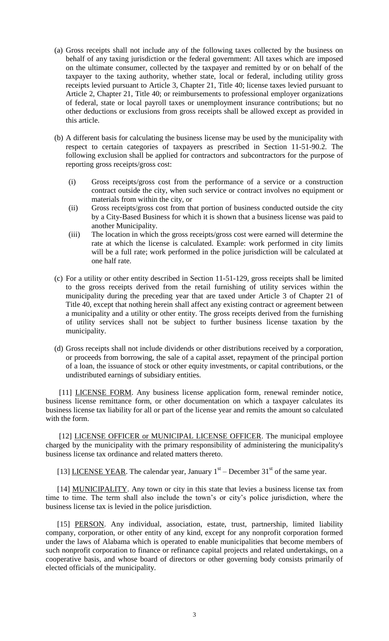- (a) Gross receipts shall not include any of the following taxes collected by the business on behalf of any taxing jurisdiction or the federal government: All taxes which are imposed on the ultimate consumer, collected by the taxpayer and remitted by or on behalf of the taxpayer to the taxing authority, whether state, local or federal, including utility gross receipts levied pursuant to Article 3, Chapter 21, Title 40; license taxes levied pursuant to Article 2, Chapter 21, Title 40; or reimbursements to professional employer organizations of federal, state or local payroll taxes or unemployment insurance contributions; but no other deductions or exclusions from gross receipts shall be allowed except as provided in this article.
- (b) A different basis for calculating the business license may be used by the municipality with respect to certain categories of taxpayers as prescribed in Section 11-51-90.2. The following exclusion shall be applied for contractors and subcontractors for the purpose of reporting gross receipts/gross cost:
	- (i) Gross receipts/gross cost from the performance of a service or a construction contract outside the city, when such service or contract involves no equipment or materials from within the city, or
	- (ii) Gross receipts/gross cost from that portion of business conducted outside the city by a City-Based Business for which it is shown that a business license was paid to another Municipality.
	- (iii) The location in which the gross receipts/gross cost were earned will determine the rate at which the license is calculated. Example: work performed in city limits will be a full rate; work performed in the police jurisdiction will be calculated at one half rate.
- (c) For a utility or other entity described in Section 11-51-129, gross receipts shall be limited to the gross receipts derived from the retail furnishing of utility services within the municipality during the preceding year that are taxed under Article 3 of Chapter 21 of Title 40, except that nothing herein shall affect any existing contract or agreement between a municipality and a utility or other entity. The gross receipts derived from the furnishing of utility services shall not be subject to further business license taxation by the municipality.
- (d) Gross receipts shall not include dividends or other distributions received by a corporation, or proceeds from borrowing, the sale of a capital asset, repayment of the principal portion of a loan, the issuance of stock or other equity investments, or capital contributions, or the undistributed earnings of subsidiary entities.

[11] LICENSE FORM. Any business license application form, renewal reminder notice, business license remittance form, or other documentation on which a taxpayer calculates its business license tax liability for all or part of the license year and remits the amount so calculated with the form.

[12] LICENSE OFFICER or MUNICIPAL LICENSE OFFICER. The municipal employee charged by the municipality with the primary responsibility of administering the municipality's business license tax ordinance and related matters thereto.

[13] LICENSE YEAR. The calendar year, January  $1<sup>st</sup>$  – December 31<sup>st</sup> of the same year.

[14] MUNICIPALITY. Any town or city in this state that levies a business license tax from time to time. The term shall also include the town's or city's police jurisdiction, where the business license tax is levied in the police jurisdiction.

[15] PERSON. Any individual, association, estate, trust, partnership, limited liability company, corporation, or other entity of any kind, except for any nonprofit corporation formed under the laws of Alabama which is operated to enable municipalities that become members of such nonprofit corporation to finance or refinance capital projects and related undertakings, on a cooperative basis, and whose board of directors or other governing body consists primarily of elected officials of the municipality.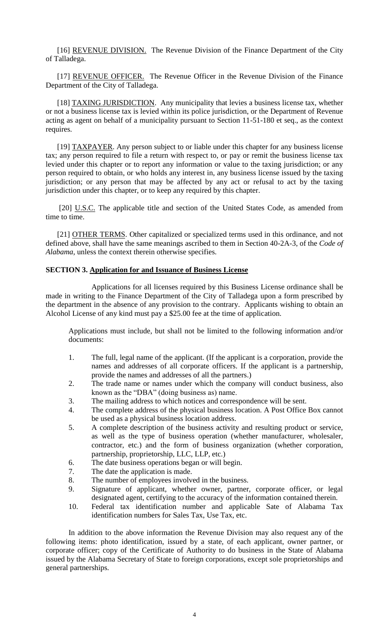[16] REVENUE DIVISION. The Revenue Division of the Finance Department of the City of Talladega.

[17] REVENUE OFFICER. The Revenue Officer in the Revenue Division of the Finance Department of the City of Talladega.

[18] TAXING JURISDICTION. Any municipality that levies a business license tax, whether or not a business license tax is levied within its police jurisdiction, or the Department of Revenue acting as agent on behalf of a municipality pursuant to Section 11-51-180 et seq., as the context requires.

[19] TAXPAYER. Any person subject to or liable under this chapter for any business license tax; any person required to file a return with respect to, or pay or remit the business license tax levied under this chapter or to report any information or value to the taxing jurisdiction; or any person required to obtain, or who holds any interest in, any business license issued by the taxing jurisdiction; or any person that may be affected by any act or refusal to act by the taxing jurisdiction under this chapter, or to keep any required by this chapter.

[20] U.S.C. The applicable title and section of the United States Code, as amended from time to time.

[21] OTHER TERMS. Other capitalized or specialized terms used in this ordinance, and not defined above, shall have the same meanings ascribed to them in Section 40-2A-3, of the *Code of Alabama*, unless the context therein otherwise specifies.

### **SECTION 3. Application for and Issuance of Business License**

Applications for all licenses required by this Business License ordinance shall be made in writing to the Finance Department of the City of Talladega upon a form prescribed by the department in the absence of any provision to the contrary. Applicants wishing to obtain an Alcohol License of any kind must pay a \$25.00 fee at the time of application.

Applications must include, but shall not be limited to the following information and/or documents:

- 1. The full, legal name of the applicant. (If the applicant is a corporation, provide the names and addresses of all corporate officers. If the applicant is a partnership, provide the names and addresses of all the partners.)
- 2. The trade name or names under which the company will conduct business, also known as the "DBA" (doing business as) name.
- 3. The mailing address to which notices and correspondence will be sent.
- 4. The complete address of the physical business location. A Post Office Box cannot be used as a physical business location address.
- 5. A complete description of the business activity and resulting product or service, as well as the type of business operation (whether manufacturer, wholesaler, contractor, etc.) and the form of business organization (whether corporation, partnership, proprietorship, LLC, LLP, etc.)
- 6. The date business operations began or will begin.
- 7. The date the application is made.
- 8. The number of employees involved in the business.
- 9. Signature of applicant, whether owner, partner, corporate officer, or legal designated agent, certifying to the accuracy of the information contained therein.
- 10. Federal tax identification number and applicable Sate of Alabama Tax identification numbers for Sales Tax, Use Tax, etc.

In addition to the above information the Revenue Division may also request any of the following items: photo identification, issued by a state, of each applicant, owner partner, or corporate officer; copy of the Certificate of Authority to do business in the State of Alabama issued by the Alabama Secretary of State to foreign corporations, except sole proprietorships and general partnerships.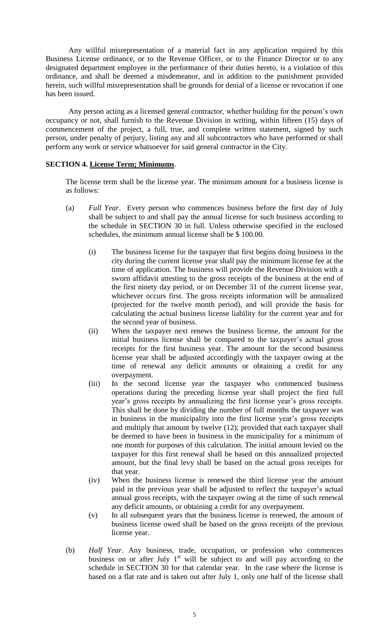Any willful misrepresentation of a material fact in any application required by this Business License ordinance, or to the Revenue Officer, or to the Finance Director or to any designated department employee in the performance of their duties hereto, is a violation of this ordinance, and shall be deemed a misdemeanor, and in addition to the punishment provided herein, such willful misrepresentation shall be grounds for denial of a license or revocation if one has been issued.

Any person acting as a licensed general contractor, whether building for the person's own occupancy or not, shall furnish to the Revenue Division in writing, within fifteen (15) days of commencement of the project, a full, true, and complete written statement, signed by such person, under penalty of perjury, listing any and all subcontractors who have performed or shall perform any work or service whatsoever for said general contractor in the City.

### **SECTION 4. License Term; Minimums**.

The license term shall be the license year. The minimum amount for a business license is as follows:

- (a) *Full Year*. Every person who commences business before the first day of July shall be subject to and shall pay the annual license for such business according to the schedule in SECTION 30 in full. Unless otherwise specified in the enclosed schedules, the minimum annual license shall be \$ 100.00.
	- (i) The business license for the taxpayer that first begins doing business in the city during the current license year shall pay the minimum license fee at the time of application. The business will provide the Revenue Division with a sworn affidavit attesting to the gross receipts of the business at the end of the first ninety day period, or on December 31 of the current license year, whichever occurs first. The gross receipts information will be annualized (projected for the twelve month period), and will provide the basis for calculating the actual business license liability for the current year and for the second year of business.
	- (ii) When the taxpayer next renews the business license, the amount for the initial business license shall be compared to the taxpayer's actual gross receipts for the first business year. The amount for the second business license year shall be adjusted accordingly with the taxpayer owing at the time of renewal any deficit amounts or obtaining a credit for any overpayment.
	- (iii) In the second license year the taxpayer who commenced business operations during the preceding license year shall project the first full year's gross receipts by annualizing the first license year's gross receipts. This shall be done by dividing the number of full months the taxpayer was in business in the municipality into the first license year's gross receipts and multiply that amount by twelve (12); provided that each taxpayer shall be deemed to have been in business in the municipality for a minimum of one month for purposes of this calculation. The initial amount levied on the taxpayer for this first renewal shall be based on this annualized projected amount, but the final levy shall be based on the actual gross receipts for that year.
	- (iv) When the business license is renewed the third license year the amount paid in the previous year shall be adjusted to reflect the taxpayer's actual annual gross receipts, with the taxpayer owing at the time of such renewal any deficit amounts, or obtaining a credit for any overpayment.
	- (v) In all subsequent years that the business license is renewed, the amount of business license owed shall be based on the gross receipts of the previous license year.
- (b) *Half Year*. Any business, trade, occupation, or profession who commences business on or after July  $1<sup>st</sup>$  will be subject to and will pay according to the schedule in SECTION 30 for that calendar year. In the case where the license is based on a flat rate and is taken out after July 1, only one half of the license shall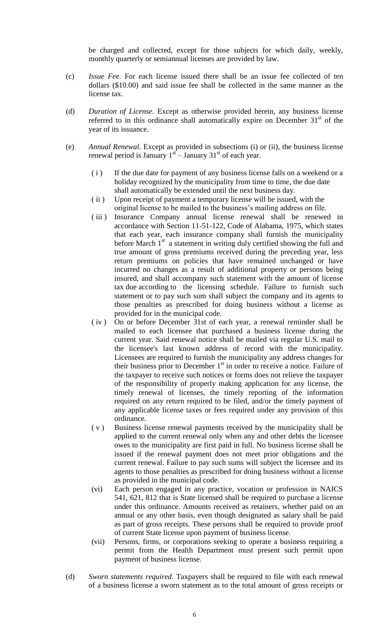be charged and collected, except for those subjects for which daily, weekly, monthly quarterly or semiannual licenses are provided by law.

- (c) *Issue Fee*. For each license issued there shall be an issue fee collected of ten dollars (\$10.00) and said issue fee shall be collected in the same manner as the license tax.
- (d) *Duration of License.* Except as otherwise provided herein, any business license referred to in this ordinance shall automatically expire on December  $31<sup>st</sup>$  of the year of its issuance.
- (e) *Annual Renewal*. Except as provided in subsections (i) or (ii), the business license renewal period is January  $1<sup>st</sup>$  – January  $31<sup>st</sup>$  of each year.
	- ( i ) If the due date for payment of any business license falls on a weekend or a holiday recognized by the municipality from time to time, the due date shall automatically be extended until the next business day.
	- ( ii ) Upon receipt of payment a temporary license will be issued, with the original license to be mailed to the business's mailing address on file.
	- ( iii ) Insurance Company annual license renewal shall be renewed in accordance with Section 11-51-122, Code of Alabama, 1975, which states that each year, each insurance company shall furnish the municipality before March  $1<sup>st</sup>$  a statement in writing duly certified showing the full and true amount of gross premiums received during the preceding year, less return premiums on policies that have remained unchanged or have incurred no changes as a result of additional property or persons being insured, and shall accompany such statement with the amount of license tax due according to the licensing schedule. Failure to furnish such statement or to pay such sum shall subject the company and its agents to those penalties as prescribed for doing business without a license as provided for in the municipal code.
	- ( iv ) On or before December 31st of each year, a renewal reminder shall be mailed to each licensee that purchased a business license during the current year. Said renewal notice shall be mailed via regular U.S. mail to the licensee's last known address of record with the municipality. Licensees are required to furnish the municipality any address changes for their business prior to December 1<sup>st</sup> in order to receive a notice. Failure of the taxpayer to receive such notices or forms does not relieve the taxpayer of the responsibility of properly making application for any license, the timely renewal of licenses, the timely reporting of the information required on any return required to be filed, and/or the timely payment of any applicable license taxes or fees required under any provision of this ordinance.
	- ( v ) Business license renewal payments received by the municipality shall be applied to the current renewal only when any and other debts the licensee owes to the municipality are first paid in full. No business license shall be issued if the renewal payment does not meet prior obligations and the current renewal. Failure to pay such sums will subject the licensee and its agents to those penalties as prescribed for doing business without a license as provided in the municipal code.
	- (vi) Each person engaged in any practice, vocation or profession in NAICS 541, 621, 812 that is State licensed shall be required to purchase a license under this ordinance. Amounts received as retainers, whether paid on an annual or any other basis, even though designated as salary shall be paid as part of gross receipts. These persons shall be required to provide proof of current State license upon payment of business license.
	- (vii) Persons, firms, or corporations seeking to operate a business requiring a permit from the Health Department must present such permit upon payment of business license.
- (d) *Sworn statements required.* Taxpayers shall be required to file with each renewal of a business license a sworn statement as to the total amount of gross receipts or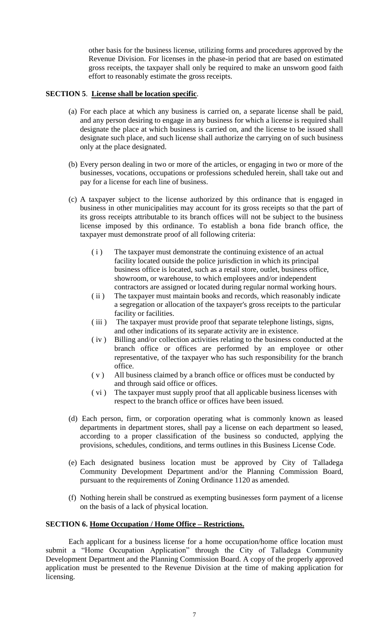other basis for the business license, utilizing forms and procedures approved by the Revenue Division. For licenses in the phase-in period that are based on estimated gross receipts, the taxpayer shall only be required to make an unsworn good faith effort to reasonably estimate the gross receipts.

## **SECTION 5**. **License shall be location specific**.

- (a) For each place at which any business is carried on, a separate license shall be paid, and any person desiring to engage in any business for which a license is required shall designate the place at which business is carried on, and the license to be issued shall designate such place, and such license shall authorize the carrying on of such business only at the place designated.
- (b) Every person dealing in two or more of the articles, or engaging in two or more of the businesses, vocations, occupations or professions scheduled herein, shall take out and pay for a license for each line of business.
- (c) A taxpayer subject to the license authorized by this ordinance that is engaged in business in other municipalities may account for its gross receipts so that the part of its gross receipts attributable to its branch offices will not be subject to the business license imposed by this ordinance. To establish a bona fide branch office, the taxpayer must demonstrate proof of all following criteria:
	- ( i ) The taxpayer must demonstrate the continuing existence of an actual facility located outside the police jurisdiction in which its principal business office is located, such as a retail store, outlet, business office, showroom, or warehouse, to which employees and/or independent contractors are assigned or located during regular normal working hours.
	- ( ii ) The taxpayer must maintain books and records, which reasonably indicate a segregation or allocation of the taxpayer's gross receipts to the particular facility or facilities.
	- ( iii ) The taxpayer must provide proof that separate telephone listings, signs, and other indications of its separate activity are in existence.
	- ( iv ) Billing and/or collection activities relating to the business conducted at the branch office or offices are performed by an employee or other representative, of the taxpayer who has such responsibility for the branch office.
	- ( v ) All business claimed by a branch office or offices must be conducted by and through said office or offices.
	- ( vi ) The taxpayer must supply proof that all applicable business licenses with respect to the branch office or offices have been issued.
- (d) Each person, firm, or corporation operating what is commonly known as leased departments in department stores, shall pay a license on each department so leased, according to a proper classification of the business so conducted, applying the provisions, schedules, conditions, and terms outlines in this Business License Code.
- (e) Each designated business location must be approved by City of Talladega Community Development Department and/or the Planning Commission Board, pursuant to the requirements of Zoning Ordinance 1120 as amended.
- (f) Nothing herein shall be construed as exempting businesses form payment of a license on the basis of a lack of physical location.

# **SECTION 6. Home Occupation / Home Office – Restrictions.**

Each applicant for a business license for a home occupation/home office location must submit a "Home Occupation Application" through the City of Talladega Community Development Department and the Planning Commission Board. A copy of the properly approved application must be presented to the Revenue Division at the time of making application for licensing.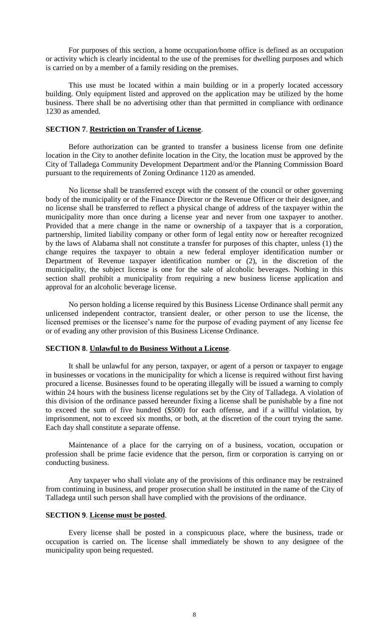For purposes of this section, a home occupation/home office is defined as an occupation or activity which is clearly incidental to the use of the premises for dwelling purposes and which is carried on by a member of a family residing on the premises.

This use must be located within a main building or in a properly located accessory building. Only equipment listed and approved on the application may be utilized by the home business. There shall be no advertising other than that permitted in compliance with ordinance 1230 as amended.

### **SECTION 7**. **Restriction on Transfer of License**.

Before authorization can be granted to transfer a business license from one definite location in the City to another definite location in the City, the location must be approved by the City of Talladega Community Development Department and/or the Planning Commission Board pursuant to the requirements of Zoning Ordinance 1120 as amended.

No license shall be transferred except with the consent of the council or other governing body of the municipality or of the Finance Director or the Revenue Officer or their designee, and no license shall be transferred to reflect a physical change of address of the taxpayer within the municipality more than once during a license year and never from one taxpayer to another. Provided that a mere change in the name or ownership of a taxpayer that is a corporation, partnership, limited liability company or other form of legal entity now or hereafter recognized by the laws of Alabama shall not constitute a transfer for purposes of this chapter, unless (1) the change requires the taxpayer to obtain a new federal employer identification number or Department of Revenue taxpayer identification number or (2), in the discretion of the municipality, the subject license is one for the sale of alcoholic beverages. Nothing in this section shall prohibit a municipality from requiring a new business license application and approval for an alcoholic beverage license.

No person holding a license required by this Business License Ordinance shall permit any unlicensed independent contractor, transient dealer, or other person to use the license, the licensed premises or the licensee's name for the purpose of evading payment of any license fee or of evading any other provision of this Business License Ordinance.

### **SECTION 8**. **Unlawful to do Business Without a License**.

It shall be unlawful for any person, taxpayer, or agent of a person or taxpayer to engage in businesses or vocations in the municipality for which a license is required without first having procured a license. Businesses found to be operating illegally will be issued a warning to comply within 24 hours with the business license regulations set by the City of Talladega. A violation of this division of the ordinance passed hereunder fixing a license shall be punishable by a fine not to exceed the sum of five hundred (\$500) for each offense, and if a willful violation, by imprisonment, not to exceed six months, or both, at the discretion of the court trying the same. Each day shall constitute a separate offense.

Maintenance of a place for the carrying on of a business, vocation, occupation or profession shall be prime facie evidence that the person, firm or corporation is carrying on or conducting business.

Any taxpayer who shall violate any of the provisions of this ordinance may be restrained from continuing in business, and proper prosecution shall be instituted in the name of the City of Talladega until such person shall have complied with the provisions of the ordinance.

### **SECTION 9**. **License must be posted**.

Every license shall be posted in a conspicuous place, where the business, trade or occupation is carried on. The license shall immediately be shown to any designee of the municipality upon being requested.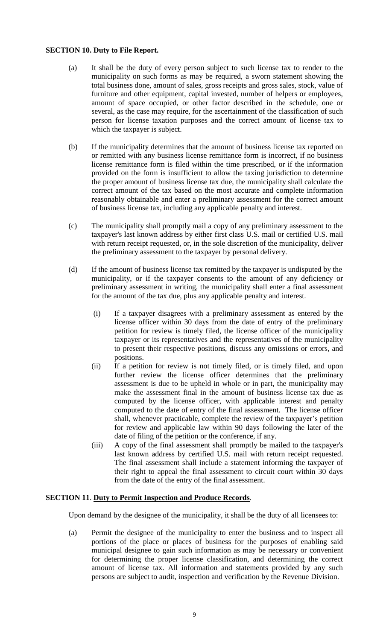## **SECTION 10. Duty to File Report.**

- (a) It shall be the duty of every person subject to such license tax to render to the municipality on such forms as may be required, a sworn statement showing the total business done, amount of sales, gross receipts and gross sales, stock, value of furniture and other equipment, capital invested, number of helpers or employees, amount of space occupied, or other factor described in the schedule, one or several, as the case may require, for the ascertainment of the classification of such person for license taxation purposes and the correct amount of license tax to which the taxpayer is subject.
- (b) If the municipality determines that the amount of business license tax reported on or remitted with any business license remittance form is incorrect, if no business license remittance form is filed within the time prescribed, or if the information provided on the form is insufficient to allow the taxing jurisdiction to determine the proper amount of business license tax due, the municipality shall calculate the correct amount of the tax based on the most accurate and complete information reasonably obtainable and enter a preliminary assessment for the correct amount of business license tax, including any applicable penalty and interest.
- (c) The municipality shall promptly mail a copy of any preliminary assessment to the taxpayer's last known address by either first class U.S. mail or certified U.S. mail with return receipt requested, or, in the sole discretion of the municipality, deliver the preliminary assessment to the taxpayer by personal delivery.
- (d) If the amount of business license tax remitted by the taxpayer is undisputed by the municipality, or if the taxpayer consents to the amount of any deficiency or preliminary assessment in writing, the municipality shall enter a final assessment for the amount of the tax due, plus any applicable penalty and interest.
	- (i) If a taxpayer disagrees with a preliminary assessment as entered by the license officer within 30 days from the date of entry of the preliminary petition for review is timely filed, the license officer of the municipality taxpayer or its representatives and the representatives of the municipality to present their respective positions, discuss any omissions or errors, and positions.
	- (ii) If a petition for review is not timely filed, or is timely filed, and upon further review the license officer determines that the preliminary assessment is due to be upheld in whole or in part, the municipality may make the assessment final in the amount of business license tax due as computed by the license officer, with applicable interest and penalty computed to the date of entry of the final assessment. The license officer shall, whenever practicable, complete the review of the taxpayer's petition for review and applicable law within 90 days following the later of the date of filing of the petition or the conference, if any.
	- (iii) A copy of the final assessment shall promptly be mailed to the taxpayer's last known address by certified U.S. mail with return receipt requested. The final assessment shall include a statement informing the taxpayer of their right to appeal the final assessment to circuit court within 30 days from the date of the entry of the final assessment.

## **SECTION 11**. **Duty to Permit Inspection and Produce Records**.

Upon demand by the designee of the municipality, it shall be the duty of all licensees to:

(a) Permit the designee of the municipality to enter the business and to inspect all portions of the place or places of business for the purposes of enabling said municipal designee to gain such information as may be necessary or convenient for determining the proper license classification, and determining the correct amount of license tax. All information and statements provided by any such persons are subject to audit, inspection and verification by the Revenue Division.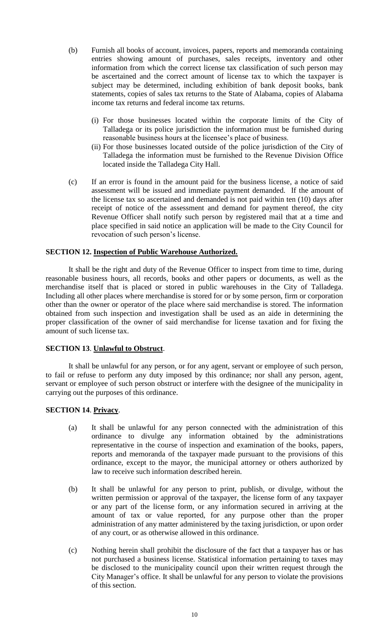- (b) Furnish all books of account, invoices, papers, reports and memoranda containing entries showing amount of purchases, sales receipts, inventory and other information from which the correct license tax classification of such person may be ascertained and the correct amount of license tax to which the taxpayer is subject may be determined, including exhibition of bank deposit books, bank statements, copies of sales tax returns to the State of Alabama, copies of Alabama income tax returns and federal income tax returns.
	- (i) For those businesses located within the corporate limits of the City of Talladega or its police jurisdiction the information must be furnished during reasonable business hours at the licensee's place of business.
	- (ii) For those businesses located outside of the police jurisdiction of the City of Talladega the information must be furnished to the Revenue Division Office located inside the Talladega City Hall.
- (c) If an error is found in the amount paid for the business license, a notice of said assessment will be issued and immediate payment demanded. If the amount of the license tax so ascertained and demanded is not paid within ten (10) days after receipt of notice of the assessment and demand for payment thereof, the city Revenue Officer shall notify such person by registered mail that at a time and place specified in said notice an application will be made to the City Council for revocation of such person's license.

### **SECTION 12. Inspection of Public Warehouse Authorized.**

It shall be the right and duty of the Revenue Officer to inspect from time to time, during reasonable business hours, all records, books and other papers or documents, as well as the merchandise itself that is placed or stored in public warehouses in the City of Talladega. Including all other places where merchandise is stored for or by some person, firm or corporation other than the owner or operator of the place where said merchandise is stored. The information obtained from such inspection and investigation shall be used as an aide in determining the proper classification of the owner of said merchandise for license taxation and for fixing the amount of such license tax.

### **SECTION 13**. **Unlawful to Obstruct**.

It shall be unlawful for any person, or for any agent, servant or employee of such person, to fail or refuse to perform any duty imposed by this ordinance; nor shall any person, agent, servant or employee of such person obstruct or interfere with the designee of the municipality in carrying out the purposes of this ordinance.

#### **SECTION 14**. **Privacy**.

- (a) It shall be unlawful for any person connected with the administration of this ordinance to divulge any information obtained by the administrations representative in the course of inspection and examination of the books, papers, reports and memoranda of the taxpayer made pursuant to the provisions of this ordinance, except to the mayor, the municipal attorney or others authorized by law to receive such information described herein.
- (b) It shall be unlawful for any person to print, publish, or divulge, without the written permission or approval of the taxpayer, the license form of any taxpayer or any part of the license form, or any information secured in arriving at the amount of tax or value reported, for any purpose other than the proper administration of any matter administered by the taxing jurisdiction, or upon order of any court, or as otherwise allowed in this ordinance.
- (c) Nothing herein shall prohibit the disclosure of the fact that a taxpayer has or has not purchased a business license. Statistical information pertaining to taxes may be disclosed to the municipality council upon their written request through the City Manager's office. It shall be unlawful for any person to violate the provisions of this section.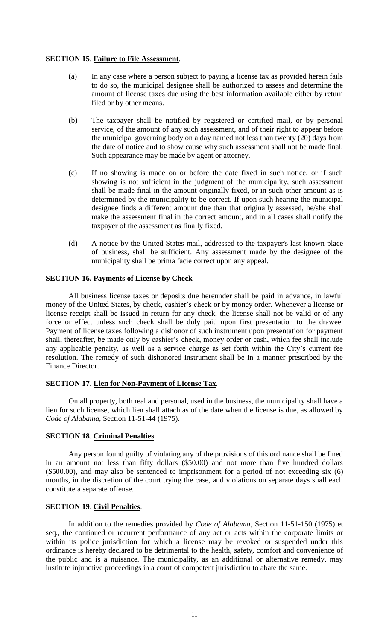## **SECTION 15**. **Failure to File Assessment**.

- (a) In any case where a person subject to paying a license tax as provided herein fails to do so, the municipal designee shall be authorized to assess and determine the amount of license taxes due using the best information available either by return filed or by other means.
- (b) The taxpayer shall be notified by registered or certified mail, or by personal service, of the amount of any such assessment, and of their right to appear before the municipal governing body on a day named not less than twenty (20) days from the date of notice and to show cause why such assessment shall not be made final. Such appearance may be made by agent or attorney.
- (c) If no showing is made on or before the date fixed in such notice, or if such showing is not sufficient in the judgment of the municipality, such assessment shall be made final in the amount originally fixed, or in such other amount as is determined by the municipality to be correct. If upon such hearing the municipal designee finds a different amount due than that originally assessed, he/she shall make the assessment final in the correct amount, and in all cases shall notify the taxpayer of the assessment as finally fixed.
- (d) A notice by the United States mail, addressed to the taxpayer's last known place of business, shall be sufficient. Any assessment made by the designee of the municipality shall be prima facie correct upon any appeal.

## **SECTION 16. Payments of License by Check**

All business license taxes or deposits due hereunder shall be paid in advance, in lawful money of the United States, by check, cashier's check or by money order. Whenever a license or license receipt shall be issued in return for any check, the license shall not be valid or of any force or effect unless such check shall be duly paid upon first presentation to the drawee. Payment of license taxes following a dishonor of such instrument upon presentation for payment shall, thereafter, be made only by cashier's check, money order or cash, which fee shall include any applicable penalty, as well as a service charge as set forth within the City's current fee resolution. The remedy of such dishonored instrument shall be in a manner prescribed by the Finance Director.

## **SECTION 17**. **Lien for Non-Payment of License Tax**.

On all property, both real and personal, used in the business, the municipality shall have a lien for such license, which lien shall attach as of the date when the license is due, as allowed by *Code of Alabama*, Section 11-51-44 (1975).

## **SECTION 18**. **Criminal Penalties**.

Any person found guilty of violating any of the provisions of this ordinance shall be fined in an amount not less than fifty dollars (\$50.00) and not more than five hundred dollars (\$500.00), and may also be sentenced to imprisonment for a period of not exceeding six (6) months, in the discretion of the court trying the case, and violations on separate days shall each constitute a separate offense.

## **SECTION 19**. **Civil Penalties**.

In addition to the remedies provided by *Code of Alabama*, Section 11-51-150 (1975) et seq., the continued or recurrent performance of any act or acts within the corporate limits or within its police jurisdiction for which a license may be revoked or suspended under this ordinance is hereby declared to be detrimental to the health, safety, comfort and convenience of the public and is a nuisance. The municipality, as an additional or alternative remedy, may institute injunctive proceedings in a court of competent jurisdiction to abate the same.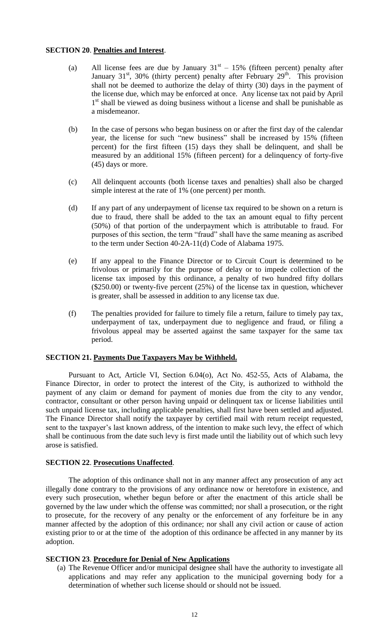### **SECTION 20**. **Penalties and Interest**.

- (a) All license fees are due by January  $31<sup>st</sup> 15%$  (fifteen percent) penalty after January  $31<sup>st</sup>$ ,  $30%$  (thirty percent) penalty after February  $29<sup>th</sup>$ . This provision shall not be deemed to authorize the delay of thirty (30) days in the payment of the license due, which may be enforced at once. Any license tax not paid by April 1<sup>st</sup> shall be viewed as doing business without a license and shall be punishable as a misdemeanor.
- (b) In the case of persons who began business on or after the first day of the calendar year, the license for such "new business" shall be increased by 15% (fifteen percent) for the first fifteen (15) days they shall be delinquent, and shall be measured by an additional 15% (fifteen percent) for a delinquency of forty-five (45) days or more.
- (c) All delinquent accounts (both license taxes and penalties) shall also be charged simple interest at the rate of 1% (one percent) per month.
- (d) If any part of any underpayment of license tax required to be shown on a return is due to fraud, there shall be added to the tax an amount equal to fifty percent (50%) of that portion of the underpayment which is attributable to fraud. For purposes of this section, the term "fraud" shall have the same meaning as ascribed to the term under Section 40-2A-11(d) Code of Alabama 1975.
- (e) If any appeal to the Finance Director or to Circuit Court is determined to be frivolous or primarily for the purpose of delay or to impede collection of the license tax imposed by this ordinance, a penalty of two hundred fifty dollars (\$250.00) or twenty-five percent (25%) of the license tax in question, whichever is greater, shall be assessed in addition to any license tax due.
- (f) The penalties provided for failure to timely file a return, failure to timely pay tax, underpayment of tax, underpayment due to negligence and fraud, or filing a frivolous appeal may be asserted against the same taxpayer for the same tax period.

## **SECTION 21. Payments Due Taxpayers May be Withheld.**

Pursuant to Act, Article VI, Section 6.04(o), Act No. 452-55, Acts of Alabama, the Finance Director, in order to protect the interest of the City, is authorized to withhold the payment of any claim or demand for payment of monies due from the city to any vendor, contractor, consultant or other person having unpaid or delinquent tax or license liabilities until such unpaid license tax, including applicable penalties, shall first have been settled and adjusted. The Finance Director shall notify the taxpayer by certified mail with return receipt requested, sent to the taxpayer's last known address, of the intention to make such levy, the effect of which shall be continuous from the date such levy is first made until the liability out of which such levy arose is satisfied.

#### **SECTION 22**. **Prosecutions Unaffected**.

The adoption of this ordinance shall not in any manner affect any prosecution of any act illegally done contrary to the provisions of any ordinance now or heretofore in existence, and every such prosecution, whether begun before or after the enactment of this article shall be governed by the law under which the offense was committed; nor shall a prosecution, or the right to prosecute, for the recovery of any penalty or the enforcement of any forfeiture be in any manner affected by the adoption of this ordinance; nor shall any civil action or cause of action existing prior to or at the time of the adoption of this ordinance be affected in any manner by its adoption.

#### **SECTION 23**. **Procedure for Denial of New Applications**

(a) The Revenue Officer and/or municipal designee shall have the authority to investigate all applications and may refer any application to the municipal governing body for a determination of whether such license should or should not be issued.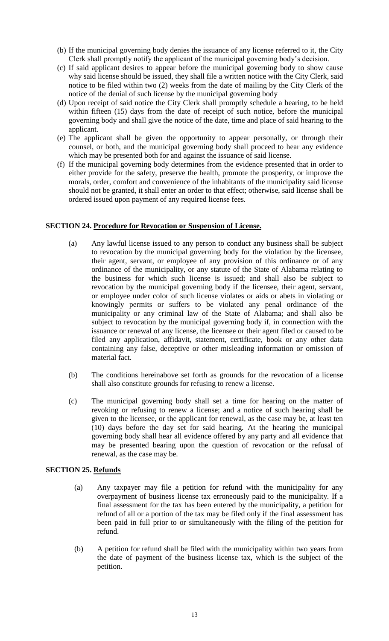- (b) If the municipal governing body denies the issuance of any license referred to it, the City Clerk shall promptly notify the applicant of the municipal governing body's decision.
- (c) If said applicant desires to appear before the municipal governing body to show cause why said license should be issued, they shall file a written notice with the City Clerk, said notice to be filed within two (2) weeks from the date of mailing by the City Clerk of the notice of the denial of such license by the municipal governing body
- (d) Upon receipt of said notice the City Clerk shall promptly schedule a hearing, to be held within fifteen (15) days from the date of receipt of such notice, before the municipal governing body and shall give the notice of the date, time and place of said hearing to the applicant.
- (e) The applicant shall be given the opportunity to appear personally, or through their counsel, or both, and the municipal governing body shall proceed to hear any evidence which may be presented both for and against the issuance of said license.
- (f) If the municipal governing body determines from the evidence presented that in order to either provide for the safety, preserve the health, promote the prosperity, or improve the morals, order, comfort and convenience of the inhabitants of the municipality said license should not be granted, it shall enter an order to that effect; otherwise, said license shall be ordered issued upon payment of any required license fees.

## **SECTION 24. Procedure for Revocation or Suspension of License.**

- (a) Any lawful license issued to any person to conduct any business shall be subject to revocation by the municipal governing body for the violation by the licensee, their agent, servant, or employee of any provision of this ordinance or of any ordinance of the municipality, or any statute of the State of Alabama relating to the business for which such license is issued; and shall also be subject to revocation by the municipal governing body if the licensee, their agent, servant, or employee under color of such license violates or aids or abets in violating or knowingly permits or suffers to be violated any penal ordinance of the municipality or any criminal law of the State of Alabama; and shall also be subject to revocation by the municipal governing body if, in connection with the issuance or renewal of any license, the licensee or their agent filed or caused to be filed any application, affidavit, statement, certificate, book or any other data containing any false, deceptive or other misleading information or omission of material fact.
- (b) The conditions hereinabove set forth as grounds for the revocation of a license shall also constitute grounds for refusing to renew a license.
- (c) The municipal governing body shall set a time for hearing on the matter of revoking or refusing to renew a license; and a notice of such hearing shall be given to the licensee, or the applicant for renewal, as the case may be, at least ten (10) days before the day set for said hearing. At the hearing the municipal governing body shall hear all evidence offered by any party and all evidence that may be presented bearing upon the question of revocation or the refusal of renewal, as the case may be.

## **SECTION 25. Refunds**

- (a) Any taxpayer may file a petition for refund with the municipality for any overpayment of business license tax erroneously paid to the municipality. If a final assessment for the tax has been entered by the municipality, a petition for refund of all or a portion of the tax may be filed only if the final assessment has been paid in full prior to or simultaneously with the filing of the petition for refund.
- (b) A petition for refund shall be filed with the municipality within two years from the date of payment of the business license tax, which is the subject of the petition.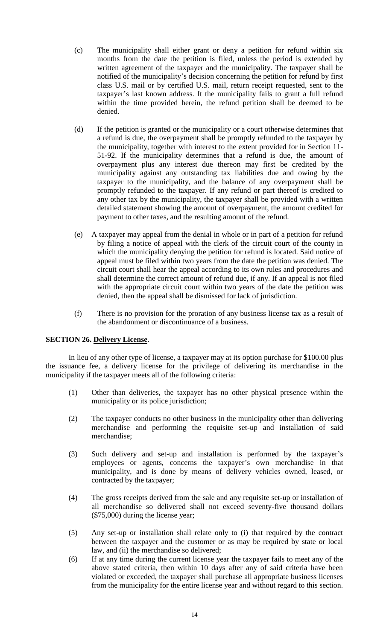- (c) The municipality shall either grant or deny a petition for refund within six months from the date the petition is filed, unless the period is extended by written agreement of the taxpayer and the municipality. The taxpayer shall be notified of the municipality's decision concerning the petition for refund by first class U.S. mail or by certified U.S. mail, return receipt requested, sent to the taxpayer's last known address. It the municipality fails to grant a full refund within the time provided herein, the refund petition shall be deemed to be denied.
- (d) If the petition is granted or the municipality or a court otherwise determines that a refund is due, the overpayment shall be promptly refunded to the taxpayer by the municipality, together with interest to the extent provided for in Section 11- 51-92. If the municipality determines that a refund is due, the amount of overpayment plus any interest due thereon may first be credited by the municipality against any outstanding tax liabilities due and owing by the taxpayer to the municipality, and the balance of any overpayment shall be promptly refunded to the taxpayer. If any refund or part thereof is credited to any other tax by the municipality, the taxpayer shall be provided with a written detailed statement showing the amount of overpayment, the amount credited for payment to other taxes, and the resulting amount of the refund.
- (e) A taxpayer may appeal from the denial in whole or in part of a petition for refund by filing a notice of appeal with the clerk of the circuit court of the county in which the municipality denying the petition for refund is located. Said notice of appeal must be filed within two years from the date the petition was denied. The circuit court shall hear the appeal according to its own rules and procedures and shall determine the correct amount of refund due, if any. If an appeal is not filed with the appropriate circuit court within two years of the date the petition was denied, then the appeal shall be dismissed for lack of jurisdiction.
- (f) There is no provision for the proration of any business license tax as a result of the abandonment or discontinuance of a business.

## **SECTION 26. Delivery License**.

In lieu of any other type of license, a taxpayer may at its option purchase for \$100.00 plus the issuance fee, a delivery license for the privilege of delivering its merchandise in the municipality if the taxpayer meets all of the following criteria:

- (1) Other than deliveries, the taxpayer has no other physical presence within the municipality or its police jurisdiction;
- (2) The taxpayer conducts no other business in the municipality other than delivering merchandise and performing the requisite set-up and installation of said merchandise;
- (3) Such delivery and set-up and installation is performed by the taxpayer's employees or agents, concerns the taxpayer's own merchandise in that municipality, and is done by means of delivery vehicles owned, leased, or contracted by the taxpayer;
- (4) The gross receipts derived from the sale and any requisite set-up or installation of all merchandise so delivered shall not exceed seventy-five thousand dollars (\$75,000) during the license year;
- (5) Any set-up or installation shall relate only to (i) that required by the contract between the taxpayer and the customer or as may be required by state or local law, and (ii) the merchandise so delivered;
- (6) If at any time during the current license year the taxpayer fails to meet any of the above stated criteria, then within 10 days after any of said criteria have been violated or exceeded, the taxpayer shall purchase all appropriate business licenses from the municipality for the entire license year and without regard to this section.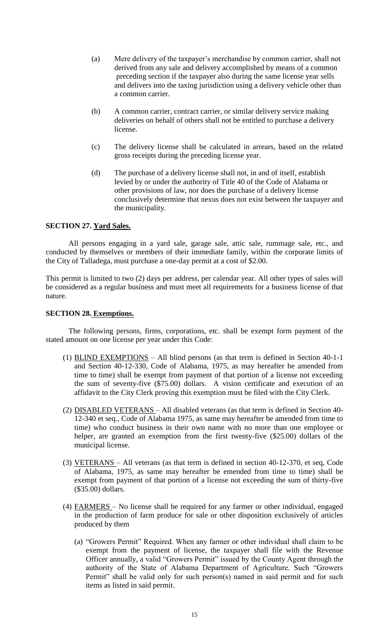- (a) Mere delivery of the taxpayer's merchandise by common carrier, shall not derived from any sale and delivery accomplished by means of a common preceding section if the taxpayer also during the same license year sells and delivers into the taxing jurisdiction using a delivery vehicle other than a common carrier.
- (b) A common carrier, contract carrier, or similar delivery service making deliveries on behalf of others shall not be entitled to purchase a delivery license.
- (c) The delivery license shall be calculated in arrears, based on the related gross receipts during the preceding license year.
- (d) The purchase of a delivery license shall not, in and of itself, establish levied by or under the authority of Title 40 of the Code of Alabama or other provisions of law, nor does the purchase of a delivery license conclusively determine that nexus does not exist between the taxpayer and the municipality.

## **SECTION 27. Yard Sales.**

All persons engaging in a yard sale, garage sale, attic sale, rummage sale, etc., and conducted by themselves or members of their immediate family, within the corporate limits of the City of Talladega, must purchase a one-day permit at a cost of \$2.00.

This permit is limited to two (2) days per address, per calendar year. All other types of sales will be considered as a regular business and must meet all requirements for a business license of that nature.

## **SECTION 28. Exemptions.**

The following persons, firms, corporations, etc. shall be exempt form payment of the stated amount on one license per year under this Code:

- (1) BLIND EXEMPTIONS All blind persons (as that term is defined in Section 40-1-1 and Section 40-12-330, Code of Alabama, 1975, as may hereafter be amended from time to time) shall be exempt from payment of that portion of a license not exceeding the sum of seventy-five (\$75.00) dollars. A vision certificate and execution of an affidavit to the City Clerk proving this exemption must be filed with the City Clerk.
- (2) DISABLED VETERANS All disabled veterans (as that term is defined in Section 40- 12-340 et seq., Code of Alabama 1975, as same may hereafter be amended from time to time) who conduct business in their own name with no more than one employee or helper, are granted an exemption from the first twenty-five (\$25.00) dollars of the municipal license.
- (3) VETERANS All veterans (as that term is defined in section 40-12-370, et seq, Code of Alabama, 1975, as same may hereafter be emended from time to time) shall be exempt from payment of that portion of a license not exceeding the sum of thirty-five (\$35.00) dollars.
- (4) FARMERS No license shall be required for any farmer or other individual, engaged in the production of farm produce for sale or other disposition exclusively of articles produced by them
	- (a) "Growers Permit" Required. When any farmer or other individual shall claim to be exempt from the payment of license, the taxpayer shall file with the Revenue Officer annually, a valid "Growers Permit" issued by the County Agent through the authority of the State of Alabama Department of Agriculture. Such "Growers Permit" shall be valid only for such person(s) named in said permit and for such items as listed in said permit.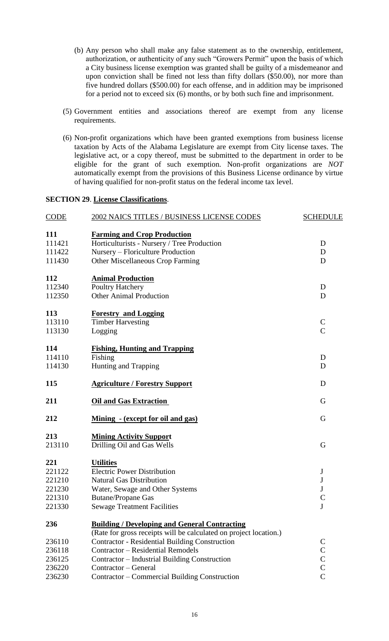- (b) Any person who shall make any false statement as to the ownership, entitlement, authorization, or authenticity of any such "Growers Permit" upon the basis of which a City business license exemption was granted shall be guilty of a misdemeanor and upon conviction shall be fined not less than fifty dollars (\$50.00), nor more than five hundred dollars (\$500.00) for each offense, and in addition may be imprisoned for a period not to exceed six (6) months, or by both such fine and imprisonment.
- (5) Government entities and associations thereof are exempt from any license requirements.
- (6) Non-profit organizations which have been granted exemptions from business license taxation by Acts of the Alabama Legislature are exempt from City license taxes. The legislative act, or a copy thereof, must be submitted to the department in order to be eligible for the grant of such exemption. Non-profit organizations are *NOT* automatically exempt from the provisions of this Business License ordinance by virtue of having qualified for non-profit status on the federal income tax level.

# **SECTION 29**. **License Classifications**.

| <b>CODE</b> | 2002 NAICS TITLES / BUSINESS LICENSE CODES                        | <b>SCHEDULE</b>                       |
|-------------|-------------------------------------------------------------------|---------------------------------------|
| <b>111</b>  | <b>Farming and Crop Production</b>                                |                                       |
| 111421      | Horticulturists - Nursery / Tree Production                       | D                                     |
| 111422      | Nursery – Floriculture Production                                 | D                                     |
| 111430      | <b>Other Miscellaneous Crop Farming</b>                           | D                                     |
| 112         | <b>Animal Production</b>                                          |                                       |
| 112340      | Poultry Hatchery                                                  | D                                     |
| 112350      | <b>Other Animal Production</b>                                    | D                                     |
| 113         | <b>Forestry and Logging</b>                                       |                                       |
| 113110      | <b>Timber Harvesting</b>                                          | $\mathcal{C}$                         |
| 113130      | Logging                                                           | $\overline{C}$                        |
| 114         | <b>Fishing, Hunting and Trapping</b>                              |                                       |
| 114110      | Fishing                                                           | D                                     |
| 114130      | Hunting and Trapping                                              | D                                     |
| 115         | <b>Agriculture / Forestry Support</b>                             | D                                     |
| 211         | <b>Oil and Gas Extraction</b>                                     | G                                     |
| 212         | Mining - (except for oil and gas)                                 | G                                     |
| 213         | <b>Mining Activity Support</b>                                    |                                       |
| 213110      | Drilling Oil and Gas Wells                                        | G                                     |
| 221         | <b>Utilities</b>                                                  |                                       |
| 221122      | <b>Electric Power Distribution</b>                                | $\bf J$                               |
| 221210      | <b>Natural Gas Distribution</b>                                   | $\bf J$                               |
| 221230      | Water, Sewage and Other Systems                                   | $\mathbf{J}$                          |
| 221310      | <b>Butane/Propane Gas</b>                                         | $\mathbf C$                           |
| 221330      | <b>Sewage Treatment Facilities</b>                                | J                                     |
| 236         | <b>Building / Developing and General Contracting</b>              |                                       |
|             | (Rate for gross receipts will be calculated on project location.) |                                       |
| 236110      | <b>Contractor - Residential Building Construction</b>             | $\mathsf{C}$                          |
| 236118      | <b>Contractor - Residential Remodels</b>                          |                                       |
| 236125      | Contractor - Industrial Building Construction                     | $\begin{array}{c} C \\ C \end{array}$ |
| 236220      | Contractor – General                                              |                                       |
| 236230      | Contractor - Commercial Building Construction                     | $\overline{C}$                        |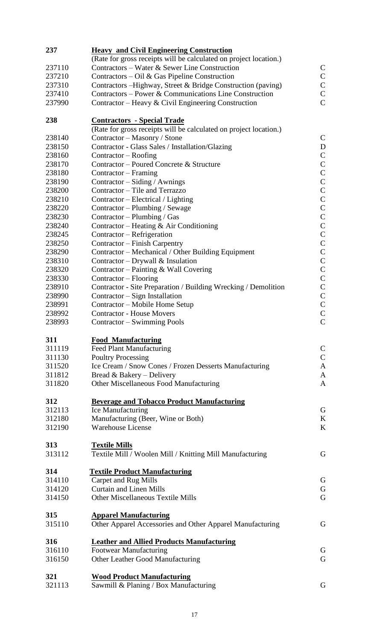| 237              | <b>Heavy and Civil Engineering Construction</b>                                                   |                                |  |
|------------------|---------------------------------------------------------------------------------------------------|--------------------------------|--|
|                  | (Rate for gross receipts will be calculated on project location.)                                 |                                |  |
| 237110           | Contractors - Water & Sewer Line Construction                                                     | $\mathsf{C}$                   |  |
| 237210           | Contractors – Oil & Gas Pipeline Construction                                                     | $\mathbf C$                    |  |
| 237310           | Contractors – Highway, Street & Bridge Construction (paving)                                      | $\mathbf C$                    |  |
| 237410           | Contractors – Power & Communications Line Construction                                            | $\mathbf C$                    |  |
| 237990           | Contractor – Heavy & Civil Engineering Construction                                               | $\overline{C}$                 |  |
| 238              | <b>Contractors - Special Trade</b>                                                                |                                |  |
| 238140           | (Rate for gross receipts will be calculated on project location.)<br>Contractor – Masonry / Stone | $\mathsf{C}$                   |  |
| 238150           |                                                                                                   | D                              |  |
| 238160           | Contractor - Glass Sales / Installation/Glazing                                                   | $\mathbf C$                    |  |
| 238170           | Contractor – Roofing<br>Contractor – Poured Concrete & Structure                                  | $\mathbf C$                    |  |
|                  |                                                                                                   | $\mathsf{C}$                   |  |
| 238180           | Contractor – Framing                                                                              | $\mathsf{C}$                   |  |
| 238190<br>238200 | Contractor – Siding / Awnings<br>Contractor – Tile and Terrazzo                                   | $\mathsf{C}$                   |  |
|                  |                                                                                                   |                                |  |
| 238210           | Contractor – Electrical / Lighting                                                                | $\mathsf{C}$<br>$\mathsf{C}$   |  |
| 238220           | Contractor – Plumbing / Sewage                                                                    | $\mathsf{C}$                   |  |
| 238230           | Contractor - Plumbing / Gas                                                                       | $\mathsf{C}$                   |  |
| 238240           | Contractor – Heating & Air Conditioning                                                           |                                |  |
| 238245           | Contractor – Refrigeration                                                                        | $\mathsf{C}$                   |  |
| 238250           | Contractor – Finish Carpentry                                                                     | $\mathsf{C}$<br>$\mathsf{C}$   |  |
| 238290           | Contractor – Mechanical / Other Building Equipment                                                |                                |  |
| 238310           | Contractor – Drywall & Insulation                                                                 | $\mathsf{C}$                   |  |
| 238320           | Contractor – Painting & Wall Covering                                                             | $\mathsf{C}$<br>$\mathbf C$    |  |
| 238330           | Contractor – Flooring                                                                             |                                |  |
| 238910           | Contractor - Site Preparation / Building Wrecking / Demolition                                    | $\mathsf{C}$                   |  |
| 238990           | Contractor – Sign Installation                                                                    | $\mathsf C$                    |  |
| 238991           | Contractor – Mobile Home Setup                                                                    | $\mathsf{C}$                   |  |
| 238992           | <b>Contractor - House Movers</b>                                                                  | $\mathsf{C}$<br>$\overline{C}$ |  |
| 238993           | Contractor – Swimming Pools                                                                       |                                |  |
| 311              | <b>Food Manufacturing</b>                                                                         |                                |  |
| 311119           | <b>Feed Plant Manufacturing</b>                                                                   | $\mathbf C$                    |  |
| 311130           | <b>Poultry Processing</b>                                                                         | $\mathbf C$                    |  |
| 311520           | Ice Cream / Snow Cones / Frozen Desserts Manufacturing                                            | $\mathbf{A}$                   |  |
| 311812           | Bread & Bakery – Delivery                                                                         | $\mathbf{A}$                   |  |
| 311820           | Other Miscellaneous Food Manufacturing                                                            | $\mathbf{A}$                   |  |
| 312              | <b>Beverage and Tobacco Product Manufacturing</b>                                                 |                                |  |
| 312113           | Ice Manufacturing                                                                                 | G                              |  |
| 312180           | Manufacturing (Beer, Wine or Both)                                                                | K                              |  |
| 312190           | <b>Warehouse License</b>                                                                          | K                              |  |
|                  |                                                                                                   |                                |  |
| 313              | <b>Textile Mills</b>                                                                              |                                |  |
| 313112           | Textile Mill / Woolen Mill / Knitting Mill Manufacturing                                          | G                              |  |
| 314              | <b>Textile Product Manufacturing</b>                                                              |                                |  |
| 314110           | Carpet and Rug Mills                                                                              | G                              |  |
| 314120           | <b>Curtain and Linen Mills</b>                                                                    | $\mathbf G$                    |  |
| 314150           | <b>Other Miscellaneous Textile Mills</b>                                                          | G                              |  |
|                  |                                                                                                   |                                |  |
| 315              | <b>Apparel Manufacturing</b>                                                                      |                                |  |
| 315110           | Other Apparel Accessories and Other Apparel Manufacturing                                         | G                              |  |
| 316              | <b>Leather and Allied Products Manufacturing</b>                                                  |                                |  |
| 316110           | <b>Footwear Manufacturing</b>                                                                     | G                              |  |
| 316150           | Other Leather Good Manufacturing                                                                  | G                              |  |
|                  |                                                                                                   |                                |  |
| 321              | <b>Wood Product Manufacturing</b>                                                                 |                                |  |
| 321113           | Sawmill & Planing / Box Manufacturing                                                             | G                              |  |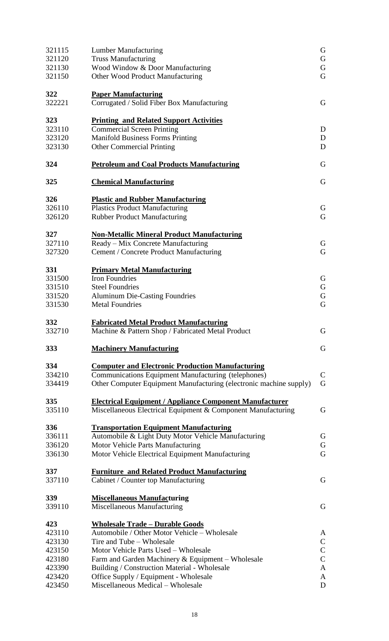| 321115<br>321120<br>321130 | <b>Lumber Manufacturing</b><br><b>Truss Manufacturing</b><br>Wood Window & Door Manufacturing | G<br>G<br>G  |  |  |  |
|----------------------------|-----------------------------------------------------------------------------------------------|--------------|--|--|--|
| 321150                     | G<br>Other Wood Product Manufacturing                                                         |              |  |  |  |
| 322<br>322221              | <b>Paper Manufacturing</b><br>Corrugated / Solid Fiber Box Manufacturing                      |              |  |  |  |
| 323                        | <b>Printing and Related Support Activities</b>                                                |              |  |  |  |
| 323110                     | <b>Commercial Screen Printing</b>                                                             | D            |  |  |  |
| 323120<br>323130           | <b>Manifold Business Forms Printing</b><br><b>Other Commercial Printing</b>                   | D<br>D       |  |  |  |
|                            |                                                                                               |              |  |  |  |
| 324                        | <b>Petroleum and Coal Products Manufacturing</b>                                              | G            |  |  |  |
| 325                        | <b>Chemical Manufacturing</b>                                                                 | G            |  |  |  |
| 326                        | <b>Plastic and Rubber Manufacturing</b>                                                       |              |  |  |  |
| 326110                     | <b>Plastics Product Manufacturing</b>                                                         | G            |  |  |  |
| 326120                     | <b>Rubber Product Manufacturing</b>                                                           | G            |  |  |  |
| 327                        | <b>Non-Metallic Mineral Product Manufacturing</b>                                             |              |  |  |  |
| 327110                     | Ready – Mix Concrete Manufacturing                                                            | G            |  |  |  |
| 327320                     | Cement / Concrete Product Manufacturing                                                       | G            |  |  |  |
| 331                        | <b>Primary Metal Manufacturing</b>                                                            |              |  |  |  |
| 331500                     | <b>Iron Foundries</b>                                                                         | G            |  |  |  |
| 331510                     | <b>Steel Foundries</b>                                                                        | G            |  |  |  |
| 331520                     | <b>Aluminum Die-Casting Foundries</b>                                                         | ${\bf G}$    |  |  |  |
| 331530                     | <b>Metal Foundries</b>                                                                        | G            |  |  |  |
| 332                        | <b>Fabricated Metal Product Manufacturing</b>                                                 |              |  |  |  |
| 332710                     | Machine & Pattern Shop / Fabricated Metal Product                                             | G            |  |  |  |
| 333                        | <b>Machinery Manufacturing</b>                                                                | G            |  |  |  |
| 334                        | <b>Computer and Electronic Production Manufacturing</b>                                       |              |  |  |  |
| 334210                     | <b>Communications Equipment Manufacturing (telephones)</b>                                    | $\mathbf C$  |  |  |  |
| 334419                     | Other Computer Equipment Manufacturing (electronic machine supply)                            | G            |  |  |  |
| 335                        | <b>Electrical Equipment / Appliance Component Manufacturer</b>                                |              |  |  |  |
| 335110                     | Miscellaneous Electrical Equipment & Component Manufacturing                                  | G            |  |  |  |
| 336                        | <b>Transportation Equipment Manufacturing</b>                                                 |              |  |  |  |
| 336111                     | Automobile & Light Duty Motor Vehicle Manufacturing                                           | G            |  |  |  |
| 336120                     | Motor Vehicle Parts Manufacturing                                                             | G            |  |  |  |
| 336130                     | Motor Vehicle Electrical Equipment Manufacturing                                              | G            |  |  |  |
| 337                        | <b>Furniture and Related Product Manufacturing</b>                                            |              |  |  |  |
| 337110                     | Cabinet / Counter top Manufacturing                                                           | G            |  |  |  |
| 339                        | <b>Miscellaneous Manufacturing</b>                                                            |              |  |  |  |
| 339110                     | Miscellaneous Manufacturing                                                                   | G            |  |  |  |
| 423                        | <u> Wholesale Trade – Durable Goods</u>                                                       |              |  |  |  |
| 423110                     | Automobile / Other Motor Vehicle - Wholesale                                                  | A            |  |  |  |
| 423130                     | Tire and Tube - Wholesale                                                                     | $\mathsf C$  |  |  |  |
| 423150                     | Motor Vehicle Parts Used - Wholesale                                                          | $\mathsf{C}$ |  |  |  |
| 423180                     | Farm and Garden Machinery & Equipment – Wholesale                                             | $\mathsf{C}$ |  |  |  |
| 423390                     | Building / Construction Material - Wholesale                                                  | A            |  |  |  |
| 423420                     | Office Supply / Equipment - Wholesale                                                         | A            |  |  |  |
| 423450                     | D<br>Miscellaneous Medical - Wholesale                                                        |              |  |  |  |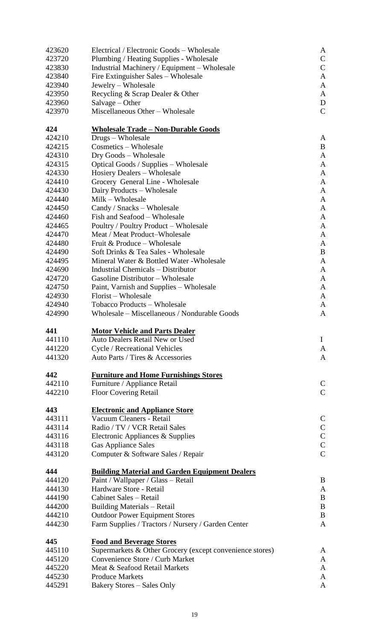| 423620 | Electrical / Electronic Goods – Wholesale                                           | A            |  |  |  |
|--------|-------------------------------------------------------------------------------------|--------------|--|--|--|
| 423720 | Plumbing / Heating Supplies - Wholesale                                             |              |  |  |  |
| 423830 | Industrial Machinery / Equipment – Wholesale<br>Fire Extinguisher Sales – Wholesale |              |  |  |  |
| 423840 | Jewelry - Wholesale                                                                 |              |  |  |  |
| 423940 |                                                                                     | A            |  |  |  |
| 423950 | Recycling & Scrap Dealer & Other                                                    | A            |  |  |  |
| 423960 | Salvage – Other                                                                     | D            |  |  |  |
| 423970 | Miscellaneous Other - Wholesale                                                     | $\mathsf{C}$ |  |  |  |
| 424    | <u> Wholesale Trade – Non-Durable Goods</u>                                         |              |  |  |  |
| 424210 | Drugs – Wholesale                                                                   | A            |  |  |  |
| 424215 | Cosmetics – Wholesale                                                               | B            |  |  |  |
| 424310 | Dry Goods – Wholesale                                                               | A            |  |  |  |
| 424315 | Optical Goods / Supplies – Wholesale                                                | A            |  |  |  |
| 424330 | <b>Hosiery Dealers - Wholesale</b>                                                  | A            |  |  |  |
| 424410 | Grocery General Line - Wholesale                                                    | A            |  |  |  |
| 424430 | Dairy Products – Wholesale                                                          | A            |  |  |  |
| 424440 | Milk - Wholesale                                                                    | A            |  |  |  |
| 424450 | Candy / Snacks – Wholesale                                                          | A            |  |  |  |
| 424460 | Fish and Seafood – Wholesale                                                        | A            |  |  |  |
| 424465 | Poultry / Poultry Product – Wholesale                                               | A            |  |  |  |
| 424470 | Meat / Meat Product-Wholesale                                                       | A            |  |  |  |
| 424480 | Fruit & Produce – Wholesale                                                         | A            |  |  |  |
| 424490 | Soft Drinks & Tea Sales - Wholesale                                                 | B            |  |  |  |
| 424495 | Mineral Water & Bottled Water - Wholesale                                           | A            |  |  |  |
| 424690 | <b>Industrial Chemicals – Distributor</b>                                           | A            |  |  |  |
| 424720 | Gasoline Distributor – Wholesale                                                    | A            |  |  |  |
| 424750 | Paint, Varnish and Supplies – Wholesale                                             | A            |  |  |  |
| 424930 | Florist – Wholesale                                                                 | A            |  |  |  |
| 424940 | Tobacco Products - Wholesale                                                        | A            |  |  |  |
| 424990 | Wholesale – Miscellaneous / Nondurable Goods                                        | A            |  |  |  |
| 441    | <b>Motor Vehicle and Parts Dealer</b>                                               |              |  |  |  |
| 441110 | <b>Auto Dealers Retail New or Used</b>                                              | $\bf{I}$     |  |  |  |
| 441220 | Cycle / Recreational Vehicles                                                       | A            |  |  |  |
| 441320 | Auto Parts / Tires & Accessories                                                    | A            |  |  |  |
| 442    | <b>Furniture and Home Furnishings Stores</b>                                        |              |  |  |  |
| 442110 | Furniture / Appliance Retail                                                        | $\mathsf{C}$ |  |  |  |
| 442210 | <b>Floor Covering Retail</b>                                                        | $\mathsf{C}$ |  |  |  |
| 443    | <b>Electronic and Appliance Store</b>                                               |              |  |  |  |
| 443111 | Vacuum Cleaners - Retail                                                            | $\mathbf C$  |  |  |  |
| 443114 | Radio / TV / VCR Retail Sales                                                       | $\mathbf C$  |  |  |  |
| 443116 | Electronic Appliances & Supplies                                                    | $\mathbf C$  |  |  |  |
| 443118 | <b>Gas Appliance Sales</b>                                                          | $\mathsf{C}$ |  |  |  |
| 443120 | Computer & Software Sales / Repair                                                  | $\mathbf C$  |  |  |  |
| 444    | <b>Building Material and Garden Equipment Dealers</b>                               |              |  |  |  |
| 444120 | Paint / Wallpaper / Glass - Retail                                                  | B            |  |  |  |
| 444130 | Hardware Store - Retail                                                             | A            |  |  |  |
| 444190 | Cabinet Sales - Retail                                                              | B            |  |  |  |
| 444200 | <b>Building Materials - Retail</b>                                                  | B            |  |  |  |
| 444210 | <b>Outdoor Power Equipment Stores</b>                                               | B            |  |  |  |
| 444230 | Farm Supplies / Tractors / Nursery / Garden Center                                  | $\mathbf{A}$ |  |  |  |
| 445    | <b>Food and Beverage Stores</b>                                                     |              |  |  |  |
| 445110 | Supermarkets & Other Grocery (except convenience stores)                            | A            |  |  |  |
| 445120 | Convenience Store / Curb Market                                                     | A            |  |  |  |
| 445220 | Meat & Seafood Retail Markets                                                       | A            |  |  |  |
| 445230 | <b>Produce Markets</b>                                                              | A            |  |  |  |
| 445291 | <b>Bakery Stores - Sales Only</b>                                                   | A            |  |  |  |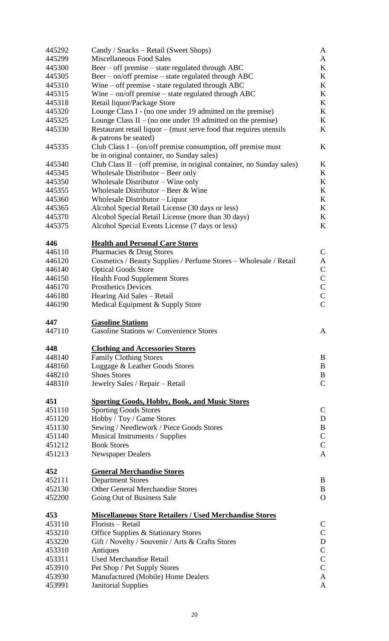| 445292           | Candy / Snacks – Retail (Sweet Shops)                                   | A              |  |  |  |
|------------------|-------------------------------------------------------------------------|----------------|--|--|--|
| 445299           | Miscellaneous Food Sales                                                |                |  |  |  |
| 445300           | Beer – off premise – state regulated through ABC                        |                |  |  |  |
| 445305           | Beer – on/off premise – state regulated through ABC                     | K<br>K         |  |  |  |
| 445310           | Wine – off premise - state regulated through ABC                        | K              |  |  |  |
| 445315           | Wine $-$ on/off premise $-$ state regulated through ABC                 | K              |  |  |  |
| 445318           | Retail liquor/Package Store<br>K                                        |                |  |  |  |
| 445320           | Lounge Class I - (no one under 19 admitted on the premise)<br>K         |                |  |  |  |
| 445325           | Lounge Class II – (no one under 19 admitted on the premise)<br>K        |                |  |  |  |
| 445330           | Restaurant retail liquor – (must serve food that requires utensils<br>K |                |  |  |  |
|                  | & patrons be seated)                                                    |                |  |  |  |
| 445335           | Club Class $I - (on/off)$ premise consumption, off premise must         | K              |  |  |  |
|                  | be in original container, no Sunday sales)                              |                |  |  |  |
| 445340           |                                                                         | K              |  |  |  |
|                  | Club Class II $-$ (off premise, in original container, no Sunday sales) |                |  |  |  |
| 445345           | Wholesale Distributor – Beer only                                       | K              |  |  |  |
| 445350           | Wholesale Distributor - Wine only                                       | K              |  |  |  |
| 445355           | Wholesale Distributor - Beer & Wine                                     | K              |  |  |  |
| 445360           | Wholesale Distributor - Liquor                                          | K              |  |  |  |
| 445365           | Alcohol Special Retail License (30 days or less)                        | K              |  |  |  |
| 445370           | Alcohol Special Retail License (more than 30 days)                      | K              |  |  |  |
| 445375           | Alcohol Special Events License (7 days or less)                         | K              |  |  |  |
|                  |                                                                         |                |  |  |  |
| 446              | <b>Health and Personal Care Stores</b>                                  |                |  |  |  |
| 446110           | Pharmacies & Drug Stores                                                | $\mathsf{C}$   |  |  |  |
| 446120           | Cosmetics / Beauty Supplies / Perfume Stores - Wholesale / Retail       | A              |  |  |  |
| 446140           | <b>Optical Goods Store</b>                                              | $\mathsf C$    |  |  |  |
| 446150           | <b>Health Food Supplement Stores</b>                                    | $\mathsf C$    |  |  |  |
| 446170           | <b>Prosthetics Devices</b>                                              | $\mathbf C$    |  |  |  |
| 446180           | Hearing Aid Sales - Retail                                              | $\mathsf{C}$   |  |  |  |
| 446190           | Medical Equipment & Supply Store                                        | $\overline{C}$ |  |  |  |
|                  |                                                                         |                |  |  |  |
|                  |                                                                         |                |  |  |  |
| 447              | <b>Gasoline Stations</b>                                                |                |  |  |  |
| 447110           | Gasoline Stations w/ Convenience Stores                                 | A              |  |  |  |
| 448              |                                                                         |                |  |  |  |
| 448140           | <b>Clothing and Accessories Stores</b>                                  | B              |  |  |  |
|                  | <b>Family Clothing Stores</b>                                           |                |  |  |  |
| 448160           | Luggage & Leather Goods Stores                                          | $\bf{B}$       |  |  |  |
| 448210           | <b>Shoes Stores</b>                                                     | B              |  |  |  |
| 448310           | Jewelry Sales / Repair - Retail                                         | $\mathsf{C}$   |  |  |  |
| 451              | <b>Sporting Goods, Hobby, Book, and Music Stores</b>                    |                |  |  |  |
| 451110           | <b>Sporting Goods Stores</b>                                            | $\mathbf C$    |  |  |  |
| 451120           | Hobby / Toy / Game Stores                                               | D              |  |  |  |
| 451130           | Sewing / Needlework / Piece Goods Stores                                | $\, {\bf B}$   |  |  |  |
| 451140           |                                                                         | $\mathsf{C}$   |  |  |  |
| 451212           | Musical Instruments / Supplies<br><b>Book Stores</b>                    | $\overline{C}$ |  |  |  |
| 451213           | <b>Newspaper Dealers</b>                                                | $\mathbf{A}$   |  |  |  |
|                  |                                                                         |                |  |  |  |
| 452              | <b>General Merchandise Stores</b>                                       |                |  |  |  |
| 452111           | <b>Department Stores</b>                                                | B              |  |  |  |
| 452130           | <b>Other General Merchandise Stores</b>                                 | B              |  |  |  |
| 452200           | Going Out of Business Sale                                              | $\mathbf{O}$   |  |  |  |
|                  |                                                                         |                |  |  |  |
| 453              | <b>Miscellaneous Store Retailers / Used Merchandise Stores</b>          |                |  |  |  |
| 453110           | Florists - Retail                                                       | $\mathsf{C}$   |  |  |  |
| 453210           | Office Supplies & Stationary Stores                                     | $\mathsf{C}$   |  |  |  |
| 453220           | Gift / Novelty / Souvenir / Arts & Crafts Stores                        | $\mathbf D$    |  |  |  |
| 453310           | Antiques                                                                | $\mathbf C$    |  |  |  |
| 453311           | <b>Used Merchandise Retail</b>                                          | $\overline{C}$ |  |  |  |
| 453910           | Pet Shop / Pet Supply Stores                                            | $\overline{C}$ |  |  |  |
| 453930<br>453991 | Manufactured (Mobile) Home Dealers<br><b>Janitorial Supplies</b>        | A<br>A         |  |  |  |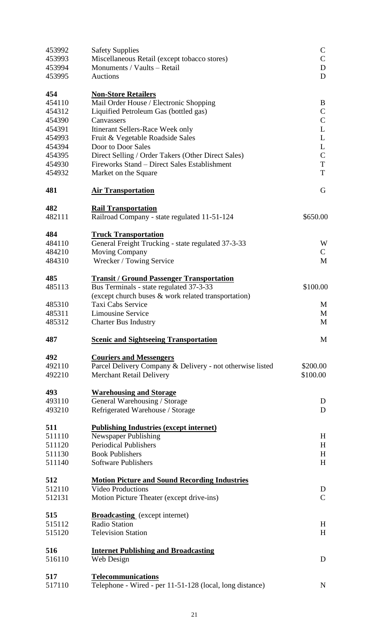| 453992 | <b>Safety Supplies</b>                                    | $\mathsf{C}$  |
|--------|-----------------------------------------------------------|---------------|
| 453993 | Miscellaneous Retail (except tobacco stores)              | $\mathsf{C}$  |
| 453994 | Monuments / Vaults - Retail                               | D             |
| 453995 | <b>Auctions</b>                                           | D             |
| 454    | <b>Non-Store Retailers</b>                                |               |
| 454110 | Mail Order House / Electronic Shopping                    | B             |
| 454312 | Liquified Petroleum Gas (bottled gas)                     | $\mathsf{C}$  |
| 454390 | Canvassers                                                | $\mathbf C$   |
| 454391 | Itinerant Sellers-Race Week only                          | L             |
| 454993 | Fruit & Vegetable Roadside Sales                          | L             |
| 454394 | Door to Door Sales                                        | L             |
| 454395 | Direct Selling / Order Takers (Other Direct Sales)        | $\mathsf{C}$  |
| 454930 | Fireworks Stand – Direct Sales Establishment              | T             |
| 454932 | Market on the Square                                      | T             |
| 481    | <b>Air Transportation</b>                                 | G             |
| 482    | <b>Rail Transportation</b>                                |               |
| 482111 | Railroad Company - state regulated 11-51-124              | \$650.00      |
| 484    | <b>Truck Transportation</b>                               |               |
| 484110 | General Freight Trucking - state regulated 37-3-33        | W             |
| 484210 | <b>Moving Company</b>                                     | $\mathcal{C}$ |
| 484310 | Wrecker / Towing Service                                  | M             |
| 485    | <b>Transit / Ground Passenger Transportation</b>          |               |
| 485113 | Bus Terminals - state regulated 37-3-33                   | \$100.00      |
|        | (except church buses & work related transportation)       |               |
| 485310 | Taxi Cabs Service                                         | M             |
| 485311 | <b>Limousine Service</b>                                  | M             |
| 485312 | <b>Charter Bus Industry</b>                               | M             |
| 487    | <b>Scenic and Sightseeing Transportation</b>              | M             |
| 492    | <b>Couriers and Messengers</b>                            |               |
| 492110 | Parcel Delivery Company & Delivery - not otherwise listed | \$200.00      |
| 492210 | <b>Merchant Retail Delivery</b>                           | \$100.00      |
| 493    | <b>Warehousing and Storage</b>                            |               |
| 493110 | General Warehousing / Storage                             | D             |
| 493210 | Refrigerated Warehouse / Storage                          | D             |
| 511    | <b>Publishing Industries (except internet)</b>            |               |
| 511110 | Newspaper Publishing                                      | H             |
| 511120 | <b>Periodical Publishers</b>                              | H             |
| 511130 | <b>Book Publishers</b>                                    | H             |
| 511140 | <b>Software Publishers</b>                                | H             |
| 512    | <b>Motion Picture and Sound Recording Industries</b>      |               |
| 512110 | <b>Video Productions</b>                                  | D             |
| 512131 | Motion Picture Theater (except drive-ins)                 | $\mathbf C$   |
| 515    | <b>Broadcasting</b> (except internet)                     |               |
| 515112 | <b>Radio Station</b>                                      | H             |
| 515120 | <b>Television Station</b>                                 | H             |
| 516    | <b>Internet Publishing and Broadcasting</b>               |               |
| 516110 | Web Design                                                | D             |
| 517    | <b>Telecommunications</b>                                 |               |
| 517110 | Telephone - Wired - per 11-51-128 (local, long distance)  | N             |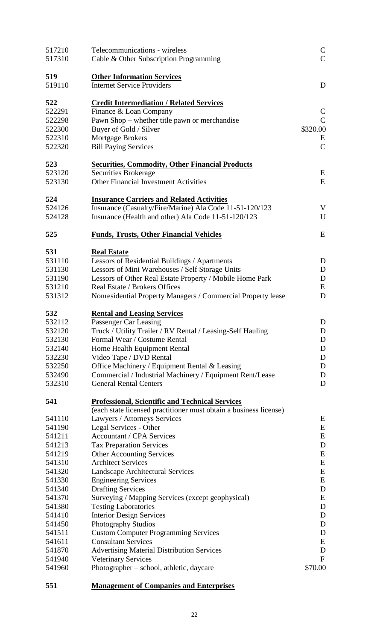| 517210<br>517310 | Telecommunications - wireless<br>Cable & Other Subscription Programming                           | $\mathsf{C}$<br>$\mathcal{C}$ |
|------------------|---------------------------------------------------------------------------------------------------|-------------------------------|
| 519<br>519110    | <b>Other Information Services</b><br><b>Internet Service Providers</b>                            | D                             |
| 522              | <b>Credit Intermediation / Related Services</b>                                                   |                               |
| 522291           | Finance & Loan Company                                                                            | $\mathsf{C}$                  |
| 522298           | Pawn Shop - whether title pawn or merchandise                                                     | $\mathsf{C}$                  |
| 522300           | Buyer of Gold / Silver                                                                            | \$320.00                      |
| 522310           | Mortgage Brokers                                                                                  | E                             |
| 522320           | <b>Bill Paying Services</b>                                                                       | $\mathcal{C}$                 |
| 523              | <b>Securities, Commodity, Other Financial Products</b>                                            |                               |
| 523120           | Securities Brokerage                                                                              | E                             |
| 523130           | <b>Other Financial Investment Activities</b>                                                      | E                             |
| 524              | <b>Insurance Carriers and Related Activities</b>                                                  |                               |
| 524126           | Insurance (Casualty/Fire/Marine) Ala Code 11-51-120/123                                           | V                             |
| 524128           | Insurance (Health and other) Ala Code 11-51-120/123                                               | U                             |
| 525              | <b>Funds, Trusts, Other Financial Vehicles</b>                                                    | E                             |
| 531              | <b>Real Estate</b>                                                                                |                               |
| 531110           | Lessors of Residential Buildings / Apartments                                                     | D                             |
| 531130           | Lessors of Mini Warehouses / Self Storage Units                                                   | D                             |
| 531190           | Lessors of Other Real Estate Property / Mobile Home Park                                          | D                             |
| 531210           | Real Estate / Brokers Offices                                                                     | E                             |
| 531312           | Nonresidential Property Managers / Commercial Property lease                                      | D                             |
| 532              | <b>Rental and Leasing Services</b>                                                                |                               |
| 532112           | Passenger Car Leasing                                                                             | D                             |
| 532120           | Truck / Utility Trailer / RV Rental / Leasing-Self Hauling                                        | ${\bf D}$                     |
| 532130           | Formal Wear / Costume Rental                                                                      | D                             |
| 532140           | Home Health Equipment Rental                                                                      | D                             |
| 532230           | Video Tape / DVD Rental                                                                           | D                             |
| 532250           | Office Machinery / Equipment Rental & Leasing                                                     | D                             |
| 532490           | Commercial / Industrial Machinery / Equipment Rent/Lease                                          | D                             |
| 532310           | <b>General Rental Centers</b>                                                                     | D                             |
| 541              | <b>Professional, Scientific and Technical Services</b>                                            |                               |
| 541110           | (each state licensed practitioner must obtain a business license)<br>Lawyers / Attorneys Services | E                             |
| 541190           | Legal Services - Other                                                                            | E                             |
| 541211           | <b>Accountant / CPA Services</b>                                                                  | E                             |
| 541213           | <b>Tax Preparation Services</b>                                                                   | D                             |
| 541219           | <b>Other Accounting Services</b>                                                                  | E                             |
| 541310           | <b>Architect Services</b>                                                                         | E                             |
| 541320           | Landscape Architectural Services                                                                  | E                             |
| 541330           | <b>Engineering Services</b>                                                                       | E                             |
| 541340           | <b>Drafting Services</b>                                                                          | D                             |
| 541370           | Surveying / Mapping Services (except geophysical)                                                 | E                             |
| 541380           | <b>Testing Laboratories</b>                                                                       | D                             |
| 541410           | <b>Interior Design Services</b>                                                                   | D                             |
| 541450           | <b>Photography Studios</b>                                                                        | D                             |
| 541511           | <b>Custom Computer Programming Services</b>                                                       | D                             |
| 541611           | <b>Consultant Services</b>                                                                        | E                             |
| 541870           | <b>Advertising Material Distribution Services</b>                                                 | D                             |
| 541940           | <b>Veterinary Services</b>                                                                        | $\mathbf{F}$                  |
| 541960           | Photographer – school, athletic, daycare                                                          | \$70.00                       |

**551 Management of Companies and Enterprises**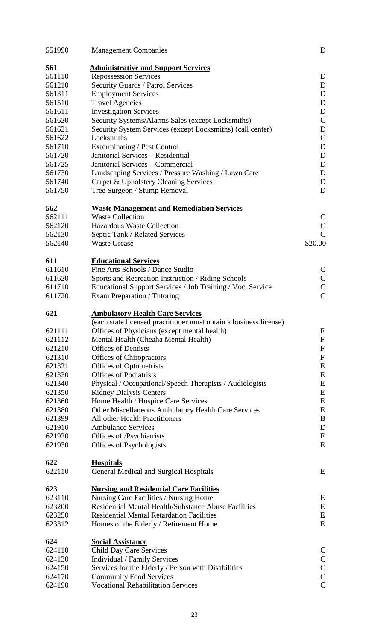| 551990        | <b>Management Companies</b>                                       | D                            |
|---------------|-------------------------------------------------------------------|------------------------------|
| 561           | <b>Administrative and Support Services</b>                        |                              |
| 561110        | <b>Repossession Services</b>                                      | D                            |
| 561210        | Security Guards / Patrol Services                                 | D                            |
| 561311        | <b>Employment Services</b>                                        | D                            |
| 561510        | <b>Travel Agencies</b>                                            | D                            |
| 561611        | <b>Investigation Services</b>                                     | D                            |
| 561620        | Security Systems/Alarms Sales (except Locksmiths)                 | $\mathbf C$                  |
| 561621        | Security System Services (except Locksmiths) (call center)        | D                            |
| 561622        | Locksmiths                                                        | $\mathcal{C}$                |
| 561710        | Exterminating / Pest Control                                      | $\mathbf D$                  |
| 561720        | Janitorial Services - Residential                                 | D                            |
| 561725        | Janitorial Services – Commercial                                  | D                            |
| 561730        | Landscaping Services / Pressure Washing / Lawn Care               | D                            |
| 561740        | Carpet & Upholstery Cleaning Services                             | D                            |
| 561750        | Tree Surgeon / Stump Removal                                      | D                            |
| 562           | <b>Waste Management and Remediation Services</b>                  |                              |
| 562111        | <b>Waste Collection</b>                                           | $\mathsf{C}$                 |
| 562120        | <b>Hazardous Waste Collection</b>                                 | $\mathsf{C}$                 |
| 562130        | Septic Tank / Related Services                                    | $\overline{C}$               |
| 562140        | <b>Waste Grease</b>                                               | \$20.00                      |
|               |                                                                   |                              |
| 611           | <b>Educational Services</b>                                       |                              |
| 611610        | Fine Arts Schools / Dance Studio                                  | $\mathsf{C}$                 |
| 611620        | Sports and Recreation Instruction / Riding Schools                | $\mathsf{C}$                 |
| 611710        | Educational Support Services / Job Training / Voc. Service        | $\overline{C}$               |
| 611720        | Exam Preparation / Tutoring                                       | $\overline{C}$               |
| 621           | <b>Ambulatory Health Care Services</b>                            |                              |
|               | (each state licensed practitioner must obtain a business license) |                              |
| 621111        | Offices of Physicians (except mental health)                      | $\boldsymbol{F}$             |
| 621112        | Mental Health (Cheaha Mental Health)                              | $\boldsymbol{F}$             |
| 621210        | <b>Offices of Dentists</b>                                        | ${\bf F}$                    |
| 621310        | <b>Offices of Chiropractors</b>                                   | ${\bf F}$                    |
| 621321        | <b>Offices of Optometrists</b>                                    | E                            |
| 621330        | <b>Offices of Podiatrists</b>                                     | E                            |
| 621340        | Physical / Occupational/Speech Therapists / Audiologists          | E                            |
| 621350        | <b>Kidney Dialysis Centers</b>                                    | E                            |
| 621360        | Home Health / Hospice Care Services                               | E                            |
| 621380        | Other Miscellaneous Ambulatory Health Care Services               | ${\bf E}$                    |
| 621399        | All other Health Practitioners                                    | B                            |
| 621910        | <b>Ambulance Services</b>                                         | D                            |
| 621920        | Offices of /Psychiatrists                                         | ${\bf F}$                    |
| 621930        | Offices of Psychologists                                          | E                            |
|               |                                                                   |                              |
| 622<br>622110 | <b>Hospitals</b>                                                  | E                            |
|               | General Medical and Surgical Hospitals                            |                              |
| 623           | <b>Nursing and Residential Care Facilities</b>                    |                              |
| 623110        | Nursing Care Facilities / Nursing Home                            | E                            |
| 623200        | Residential Mental Health/Substance Abuse Facilities              | E                            |
| 623250        | <b>Residential Mental Retardation Facilities</b>                  | E                            |
| 623312        | Homes of the Elderly / Retirement Home                            | E                            |
| 624           | <b>Social Assistance</b>                                          |                              |
| 624110        | <b>Child Day Care Services</b>                                    | $\mathsf{C}$                 |
| 624130        |                                                                   |                              |
|               | Individual / Family Services                                      | $\mathsf{C}$<br>$\mathsf{C}$ |
| 624150        | Services for the Elderly / Person with Disabilities               | $\overline{C}$               |
| 624170        | <b>Community Food Services</b>                                    | $\overline{C}$               |
| 624190        | <b>Vocational Rehabilitation Services</b>                         |                              |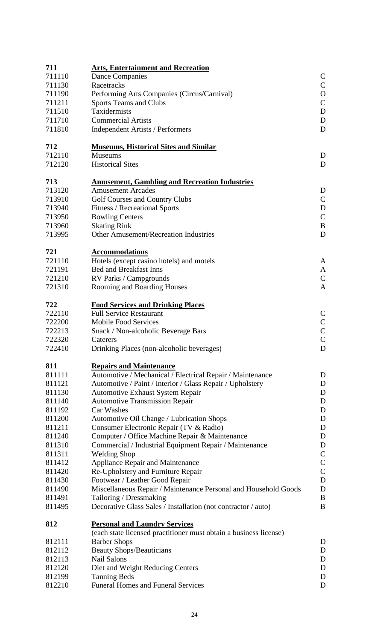| 711           | <b>Arts, Entertainment and Recreation</b>                         |                |  |  |  |
|---------------|-------------------------------------------------------------------|----------------|--|--|--|
| 711110        | <b>Dance Companies</b>                                            | $\mathsf{C}$   |  |  |  |
| 711130        | Racetracks                                                        | $\mathbf C$    |  |  |  |
| 711190        | Performing Arts Companies (Circus/Carnival)                       | $\mathbf{O}$   |  |  |  |
| 711211        | Sports Teams and Clubs                                            | $\mathsf{C}$   |  |  |  |
| 711510        | Taxidermists                                                      | D              |  |  |  |
| 711710        | <b>Commercial Artists</b>                                         | D              |  |  |  |
| 711810        | <b>Independent Artists / Performers</b>                           |                |  |  |  |
|               |                                                                   |                |  |  |  |
| 712<br>712110 | <b>Museums, Historical Sites and Similar</b><br><b>Museums</b>    |                |  |  |  |
| 712120        | <b>Historical Sites</b>                                           | D<br>D         |  |  |  |
|               |                                                                   |                |  |  |  |
| 713           | <b>Amusement, Gambling and Recreation Industries</b>              |                |  |  |  |
| 713120        | <b>Amusement Arcades</b>                                          | D              |  |  |  |
| 713910        | <b>Golf Courses and Country Clubs</b>                             | $\mathsf{C}$   |  |  |  |
| 713940        | <b>Fitness / Recreational Sports</b>                              | D              |  |  |  |
| 713950        | <b>Bowling Centers</b>                                            | $\mathsf{C}$   |  |  |  |
| 713960        | <b>Skating Rink</b>                                               | B              |  |  |  |
| 713995        | <b>Other Amusement/Recreation Industries</b>                      | D              |  |  |  |
|               |                                                                   |                |  |  |  |
| 721           | <b>Accommodations</b>                                             |                |  |  |  |
| 721110        | Hotels (except casino hotels) and motels                          | A              |  |  |  |
| 721191        | <b>Bed and Breakfast Inns</b>                                     | A              |  |  |  |
| 721210        | RV Parks / Campgrounds                                            | $\mathsf{C}$   |  |  |  |
| 721310        | Rooming and Boarding Houses                                       | A              |  |  |  |
| 722           | <b>Food Services and Drinking Places</b>                          |                |  |  |  |
| 722110        | <b>Full Service Restaurant</b>                                    | $\mathsf{C}$   |  |  |  |
| 722200        | <b>Mobile Food Services</b>                                       | $\mathsf{C}$   |  |  |  |
| 722213        | Snack / Non-alcoholic Beverage Bars                               |                |  |  |  |
| 722320        | Caterers                                                          | $\overline{C}$ |  |  |  |
| 722410        | Drinking Places (non-alcoholic beverages)                         | $\mathbf D$    |  |  |  |
| 811           |                                                                   |                |  |  |  |
| 811111        | <b>Repairs and Maintenance</b>                                    |                |  |  |  |
|               | Automotive / Mechanical / Electrical Repair / Maintenance         | D              |  |  |  |
| 811121        | Automotive / Paint / Interior / Glass Repair / Upholstery         | D              |  |  |  |
| 811130        | <b>Automotive Exhaust System Repair</b>                           | D              |  |  |  |
| 811140        | <b>Automotive Transmission Repair</b>                             | D              |  |  |  |
| 811192        | Car Washes                                                        | D              |  |  |  |
| 811200        | Automotive Oil Change / Lubrication Shops                         | D              |  |  |  |
| 811211        | Consumer Electronic Repair (TV & Radio)                           | D              |  |  |  |
| 811240        | Computer / Office Machine Repair & Maintenance                    | D              |  |  |  |
| 811310        | Commercial / Industrial Equipment Repair / Maintenance            | D              |  |  |  |
| 811311        | <b>Welding Shop</b>                                               | $\mathsf C$    |  |  |  |
| 811412        | Appliance Repair and Maintenance                                  | $\mathsf C$    |  |  |  |
| 811420        | Re-Upholstery and Furniture Repair                                | $\overline{C}$ |  |  |  |
| 811430        | Footwear / Leather Good Repair                                    | $\mathbf D$    |  |  |  |
| 811490        | Miscellaneous Repair / Maintenance Personal and Household Goods   | $\mathbf D$    |  |  |  |
| 811491        | Tailoring / Dressmaking                                           | B              |  |  |  |
| 811495        | Decorative Glass Sales / Installation (not contractor / auto)     | $\bf{B}$       |  |  |  |
| 812           | <b>Personal and Laundry Services</b>                              |                |  |  |  |
|               | (each state licensed practitioner must obtain a business license) |                |  |  |  |
| 812111        | <b>Barber Shops</b>                                               | D              |  |  |  |
| 812112        | <b>Beauty Shops/Beauticians</b>                                   | D              |  |  |  |
| 812113        | <b>Nail Salons</b>                                                | D              |  |  |  |
| 812120        | Diet and Weight Reducing Centers                                  | D              |  |  |  |
| 812199        | <b>Tanning Beds</b>                                               | D              |  |  |  |
| 812210        | <b>Funeral Homes and Funeral Services</b>                         | D              |  |  |  |
|               |                                                                   |                |  |  |  |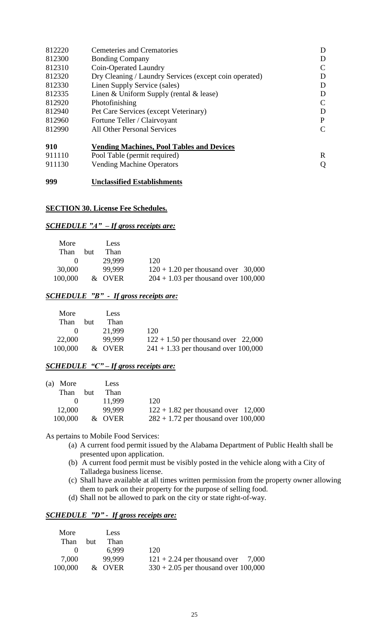| 812220 | <b>Cemeteries and Crematories</b>                      | D            |
|--------|--------------------------------------------------------|--------------|
| 812300 | <b>Bonding Company</b>                                 | D            |
| 812310 | Coin-Operated Laundry                                  | C            |
| 812320 | Dry Cleaning / Laundry Services (except coin operated) | D            |
| 812330 | Linen Supply Service (sales)                           | D            |
| 812335 | Linen & Uniform Supply (rental & lease)                | D            |
| 812920 | Photofinishing                                         | C            |
| 812940 | Pet Care Services (except Veterinary)                  | D            |
| 812960 | Fortune Teller / Clairvoyant                           | P            |
| 812990 | <b>All Other Personal Services</b>                     | $\mathsf{C}$ |
| 910    | <b>Vending Machines, Pool Tables and Devices</b>       |              |
| 911110 | Pool Table (permit required)                           | R            |
| 911130 | <b>Vending Machine Operators</b>                       | Q            |
|        |                                                        |              |

#### **999 Unclassified Establishments**

## **SECTION 30. License Fee Schedules.**

## *SCHEDULE "A" – If gross receipts are:*

| More    |     | Less   |                                        |
|---------|-----|--------|----------------------------------------|
| Than    | but | Than   |                                        |
|         |     | 29.999 | 120                                    |
| 30,000  |     | 99.999 | $120 + 1.20$ per thousand over 30,000  |
| 100,000 |     | & OVER | $204 + 1.03$ per thousand over 100,000 |

## *SCHEDULE "B" - If gross receipts are:*

| More         |      | Less   |                                        |
|--------------|------|--------|----------------------------------------|
| Than         | but. | Than   |                                        |
| $\mathbf{U}$ |      | 21.999 | 120                                    |
| 22,000       |      | 99.999 | $122 + 1.50$ per thousand over 22,000  |
| 100,000      |      | & OVER | $241 + 1.33$ per thousand over 100,000 |

## *SCHEDULE "C" – If gross receipts are:*

| (a) More     |     | Less   |                                        |
|--------------|-----|--------|----------------------------------------|
| Than         | but | Than   |                                        |
| $\mathbf{O}$ |     | 11.999 | 120                                    |
| 12,000       |     | 99.999 | $122 + 1.82$ per thousand over 12,000  |
| 100,000      |     | & OVER | $282 + 1.72$ per thousand over 100,000 |

As pertains to Mobile Food Services:

- (a) A current food permit issued by the Alabama Department of Public Health shall be presented upon application.
- (b) A current food permit must be visibly posted in the vehicle along with a City of Talladega business license.
- (c) Shall have available at all times written permission from the property owner allowing them to park on their property for the purpose of selling food.
- (d) Shall not be allowed to park on the city or state right-of-way.

## *SCHEDULE "D" - If gross receipts are:*

| More    | Less        |                                        |  |
|---------|-------------|----------------------------------------|--|
| Than    | Than<br>but |                                        |  |
|         | 6.999       | 120                                    |  |
| 7,000   | 99.999      | $121 + 2.24$ per thousand over 7,000   |  |
| 100,000 | & OVER      | $330 + 2.05$ per thousand over 100,000 |  |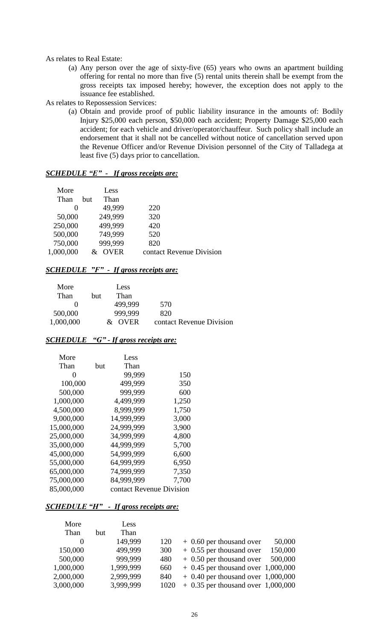### As relates to Real Estate:

- (a) Any person over the age of sixty-five (65) years who owns an apartment building offering for rental no more than five (5) rental units therein shall be exempt from the gross receipts tax imposed hereby; however, the exception does not apply to the issuance fee established.
- As relates to Repossession Services:
	- (a) Obtain and provide proof of public liability insurance in the amounts of: Bodily Injury \$25,000 each person, \$50,000 each accident; Property Damage \$25,000 each accident; for each vehicle and driver/operator/chauffeur. Such policy shall include an endorsement that it shall not be cancelled without notice of cancellation served upon the Revenue Officer and/or Revenue Division personnel of the City of Talladega at least five (5) days prior to cancellation.

| <i>SCHEDULE "E" -</i> |  | <i>If gross receipts are:</i> |
|-----------------------|--|-------------------------------|
|-----------------------|--|-------------------------------|

| More      | Less               |                          |
|-----------|--------------------|--------------------------|
| Than      | Than<br><b>but</b> |                          |
| $\theta$  | 49,999             | 220                      |
| 50,000    | 249,999            | 320                      |
| 250,000   | 499,999            | 420                      |
| 500,000   | 749,999            | 520                      |
| 750,000   | 999,999            | 820                      |
| 1,000,000 | <b>OVER</b>        | contact Revenue Division |

## *SCHEDULE "F" - If gross receipts are:*

| More<br>Than | but. | Less<br>Than                 |                          |
|--------------|------|------------------------------|--------------------------|
|              |      | 499.999                      | 570                      |
| 500,000      |      | 999.999                      | 820                      |
| 1,000,000    |      | <b>OVER</b><br>$\mathcal{X}$ | contact Revenue Division |

## *SCHEDULE "G" - If gross receipts are:*

| More       |     | Less                     |       |
|------------|-----|--------------------------|-------|
| Than       | but | Than                     |       |
| 0          |     | 99,999                   | 150   |
| 100,000    |     | 499,999                  | 350   |
| 500,000    |     | 999,999                  | 600   |
| 1,000,000  |     | 4,499,999                | 1,250 |
| 4,500,000  |     | 8,999,999                | 1,750 |
| 9,000,000  |     | 14,999,999               | 3,000 |
| 15,000,000 |     | 24,999,999               | 3,900 |
| 25,000,000 |     | 34,999,999               | 4,800 |
| 35,000,000 |     | 44,999,999               | 5,700 |
| 45,000,000 |     | 54,999,999               | 6,600 |
| 55,000,000 |     | 64,999,999               | 6,950 |
| 65,000,000 |     | 74,999,999               | 7,350 |
| 75,000,000 |     | 84,999,999               | 7,700 |
| 85,000,000 |     | contact Revenue Division |       |

#### *SCHEDULE "H" - If gross receipts are:*

| More      | Less        |      |                                      |         |
|-----------|-------------|------|--------------------------------------|---------|
| Than      | Than<br>but |      |                                      |         |
| $\theta$  | 149.999     | 120  | $+$ 0.60 per thousand over           | 50,000  |
| 150,000   | 499,999     | 300  | $+$ 0.55 per thousand over           | 150,000 |
| 500,000   | 999,999     | 480  | $+$ 0.50 per thousand over           | 500,000 |
| 1,000,000 | 1,999,999   | 660  | $+$ 0.45 per thousand over 1,000,000 |         |
| 2,000,000 | 2,999,999   | 840  | $+$ 0.40 per thousand over 1,000,000 |         |
| 3,000,000 | 3,999,999   | 1020 | $+$ 0.35 per thousand over 1,000,000 |         |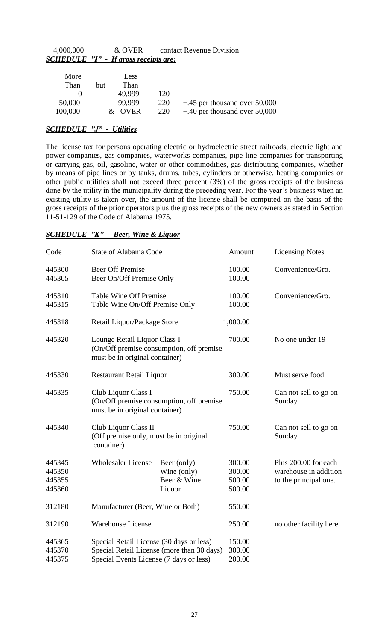| 4,000,000 | & OVER                                | contact Revenue Division |
|-----------|---------------------------------------|--------------------------|
|           | SCHEDULE "I" - If gross receipts are: |                          |

| More<br>Than | but | <b>Less</b><br>Than |     |                                  |
|--------------|-----|---------------------|-----|----------------------------------|
|              |     | 49.999              | 120 |                                  |
| 50,000       |     | 99.999              | 220 | $+.45$ per thousand over 50,000  |
| 100,000      |     | & OVER              | 220 | $+0.40$ per thousand over 50,000 |

## *SCHEDULE "J" - Utilities*

The license tax for persons operating electric or hydroelectric street railroads, electric light and power companies, gas companies, waterworks companies, pipe line companies for transporting or carrying gas, oil, gasoline, water or other commodities, gas distributing companies, whether by means of pipe lines or by tanks, drums, tubes, cylinders or otherwise, heating companies or other public utilities shall not exceed three percent (3%) of the gross receipts of the business done by the utility in the municipality during the preceding year. For the year's business when an existing utility is taken over, the amount of the license shall be computed on the basis of the gross receipts of the prior operators plus the gross receipts of the new owners as stated in Section 11-51-129 of the Code of Alabama 1975.

## *SCHEDULE "K" - Beer, Wine & Liquor*

| Code                                 | State of Alabama Code                                                                                                             |                                                                            | Amount                               | <b>Licensing Notes</b>                                                 |
|--------------------------------------|-----------------------------------------------------------------------------------------------------------------------------------|----------------------------------------------------------------------------|--------------------------------------|------------------------------------------------------------------------|
| 445300<br>445305                     | <b>Beer Off Premise</b><br>Beer On/Off Premise Only                                                                               |                                                                            | 100.00<br>100.00                     | Convenience/Gro.                                                       |
| 445310<br>445315                     | Table Wine Off Premise<br>Table Wine On/Off Premise Only                                                                          |                                                                            | 100.00<br>100.00                     | Convenience/Gro.                                                       |
| 445318                               | Retail Liquor/Package Store                                                                                                       |                                                                            | 1,000.00                             |                                                                        |
| 445320                               | Lounge Retail Liquor Class I<br>(On/Off premise consumption, off premise<br>must be in original container)                        |                                                                            | 700.00                               | No one under 19                                                        |
| 445330                               |                                                                                                                                   | <b>Restaurant Retail Liquor</b>                                            |                                      | Must serve food                                                        |
| 445335                               | Club Liquor Class I                                                                                                               | (On/Off premise consumption, off premise<br>must be in original container) |                                      | Can not sell to go on<br>Sunday                                        |
| 445340                               | Club Liquor Class II<br>container)                                                                                                | (Off premise only, must be in original                                     |                                      | Can not sell to go on<br>Sunday                                        |
| 445345<br>445350<br>445355<br>445360 | <b>Wholesaler License</b>                                                                                                         | Beer (only)<br>Wine (only)<br>Beer & Wine<br>Liquor                        | 300.00<br>300.00<br>500.00<br>500.00 | Plus 200.00 for each<br>warehouse in addition<br>to the principal one. |
| 312180                               |                                                                                                                                   | Manufacturer (Beer, Wine or Both)                                          |                                      |                                                                        |
| 312190                               | <b>Warehouse License</b>                                                                                                          |                                                                            |                                      | no other facility here                                                 |
| 445365<br>445370<br>445375           | Special Retail License (30 days or less)<br>Special Retail License (more than 30 days)<br>Special Events License (7 days or less) |                                                                            | 150.00<br>300.00<br>200.00           |                                                                        |
|                                      |                                                                                                                                   |                                                                            |                                      |                                                                        |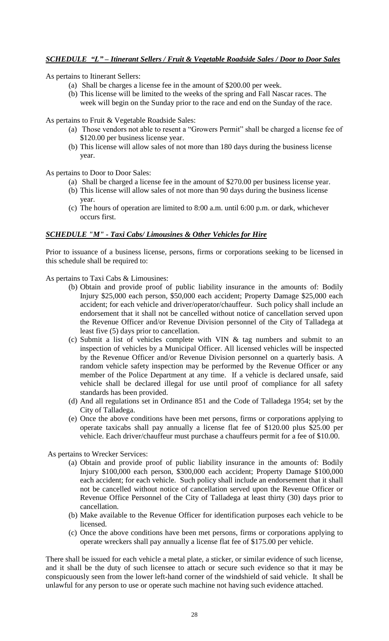# *SCHEDULE "L" – Itinerant Sellers / Fruit & Vegetable Roadside Sales / Door to Door Sales*

As pertains to Itinerant Sellers:

- (a) Shall be charges a license fee in the amount of \$200.00 per week.
- (b) This license will be limited to the weeks of the spring and Fall Nascar races. The week will begin on the Sunday prior to the race and end on the Sunday of the race.

As pertains to Fruit & Vegetable Roadside Sales:

- (a) Those vendors not able to resent a "Growers Permit" shall be charged a license fee of \$120.00 per business license year.
- (b) This license will allow sales of not more than 180 days during the business license year.

As pertains to Door to Door Sales:

- (a) Shall be charged a license fee in the amount of \$270.00 per business license year.
- (b) This license will allow sales of not more than 90 days during the business license year.
- (c) The hours of operation are limited to 8:00 a.m. until 6:00 p.m. or dark, whichever occurs first.

## *SCHEDULE "M" - Taxi Cabs/ Limousines & Other Vehicles for Hire*

Prior to issuance of a business license, persons, firms or corporations seeking to be licensed in this schedule shall be required to:

As pertains to Taxi Cabs & Limousines:

- (b) Obtain and provide proof of public liability insurance in the amounts of: Bodily Injury \$25,000 each person, \$50,000 each accident; Property Damage \$25,000 each accident; for each vehicle and driver/operator/chauffeur. Such policy shall include an endorsement that it shall not be cancelled without notice of cancellation served upon the Revenue Officer and/or Revenue Division personnel of the City of Talladega at least five (5) days prior to cancellation.
- (c) Submit a list of vehicles complete with VIN & tag numbers and submit to an inspection of vehicles by a Municipal Officer. All licensed vehicles will be inspected by the Revenue Officer and/or Revenue Division personnel on a quarterly basis. A random vehicle safety inspection may be performed by the Revenue Officer or any member of the Police Department at any time. If a vehicle is declared unsafe, said vehicle shall be declared illegal for use until proof of compliance for all safety standards has been provided.
- (d) And all regulations set in Ordinance 851 and the Code of Talladega 1954; set by the City of Talladega.
- (e) Once the above conditions have been met persons, firms or corporations applying to operate taxicabs shall pay annually a license flat fee of \$120.00 plus \$25.00 per vehicle. Each driver/chauffeur must purchase a chauffeurs permit for a fee of \$10.00.

As pertains to Wrecker Services:

- (a) Obtain and provide proof of public liability insurance in the amounts of: Bodily Injury \$100,000 each person, \$300,000 each accident; Property Damage \$100,000 each accident; for each vehicle. Such policy shall include an endorsement that it shall not be cancelled without notice of cancellation served upon the Revenue Officer or Revenue Office Personnel of the City of Talladega at least thirty (30) days prior to cancellation.
- (b) Make available to the Revenue Officer for identification purposes each vehicle to be licensed.
- (c) Once the above conditions have been met persons, firms or corporations applying to operate wreckers shall pay annually a license flat fee of \$175.00 per vehicle.

There shall be issued for each vehicle a metal plate, a sticker, or similar evidence of such license, and it shall be the duty of such licensee to attach or secure such evidence so that it may be conspicuously seen from the lower left-hand corner of the windshield of said vehicle. It shall be unlawful for any person to use or operate such machine not having such evidence attached.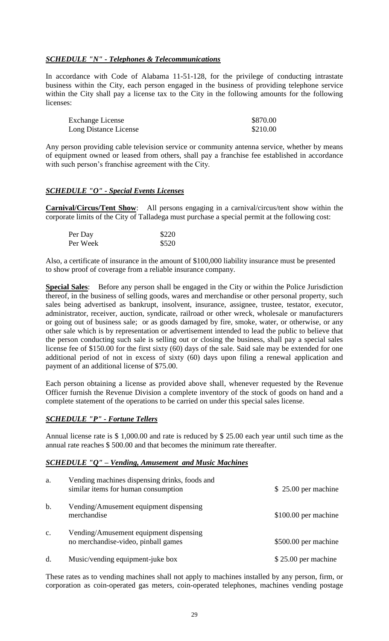# *SCHEDULE "N" - Telephones & Telecommunications*

In accordance with Code of Alabama 11-51-128, for the privilege of conducting intrastate business within the City, each person engaged in the business of providing telephone service within the City shall pay a license tax to the City in the following amounts for the following licenses:

| <b>Exchange License</b> | \$870.00 |
|-------------------------|----------|
| Long Distance License   | \$210.00 |

Any person providing cable television service or community antenna service, whether by means of equipment owned or leased from others, shall pay a franchise fee established in accordance with such person's franchise agreement with the City.

## *SCHEDULE "O" - Special Events Licenses*

**Carnival/Circus/Tent Show**: All persons engaging in a carnival/circus/tent show within the corporate limits of the City of Talladega must purchase a special permit at the following cost:

| Per Day  | \$220 |
|----------|-------|
| Per Week | \$520 |

Also, a certificate of insurance in the amount of \$100,000 liability insurance must be presented to show proof of coverage from a reliable insurance company.

**Special Sales**: Before any person shall be engaged in the City or within the Police Jurisdiction thereof, in the business of selling goods, wares and merchandise or other personal property, such sales being advertised as bankrupt, insolvent, insurance, assignee, trustee, testator, executor, administrator, receiver, auction, syndicate, railroad or other wreck, wholesale or manufacturers or going out of business sale; or as goods damaged by fire, smoke, water, or otherwise, or any other sale which is by representation or advertisement intended to lead the public to believe that the person conducting such sale is selling out or closing the business, shall pay a special sales license fee of \$150.00 for the first sixty (60) days of the sale. Said sale may be extended for one additional period of not in excess of sixty (60) days upon filing a renewal application and payment of an additional license of \$75.00.

Each person obtaining a license as provided above shall, whenever requested by the Revenue Officer furnish the Revenue Division a complete inventory of the stock of goods on hand and a complete statement of the operations to be carried on under this special sales license.

## *SCHEDULE "P" - Fortune Tellers*

Annual license rate is \$ 1,000.00 and rate is reduced by \$ 25.00 each year until such time as the annual rate reaches \$ 500.00 and that becomes the minimum rate thereafter.

## *SCHEDULE "Q" – Vending, Amusement and Music Machines*

| a.      | Vending machines dispensing drinks, foods and<br>similar items for human consumption | $$25.00$ per machine  |
|---------|--------------------------------------------------------------------------------------|-----------------------|
| b.      | Vending/Amusement equipment dispensing<br>merchandise                                | $$100.00$ per machine |
| c.      | Vending/Amusement equipment dispensing<br>no merchandise-video, pinball games        | \$500.00 per machine  |
| $\rm d$ | Music/vending equipment-juke box                                                     | $$25.00$ per machine  |

These rates as to vending machines shall not apply to machines installed by any person, firm, or corporation as coin-operated gas meters, coin-operated telephones, machines vending postage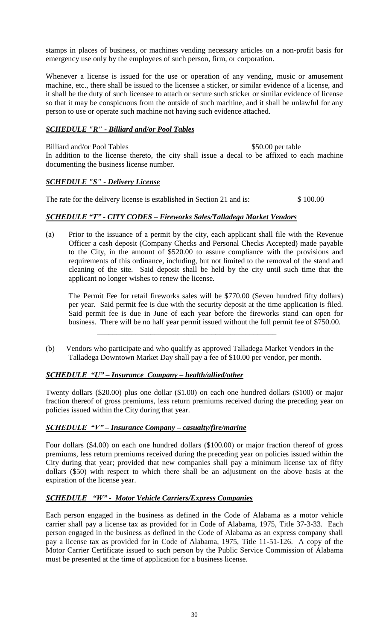stamps in places of business, or machines vending necessary articles on a non-profit basis for emergency use only by the employees of such person, firm, or corporation.

Whenever a license is issued for the use or operation of any vending, music or amusement machine, etc., there shall be issued to the licensee a sticker, or similar evidence of a license, and it shall be the duty of such licensee to attach or secure such sticker or similar evidence of license so that it may be conspicuous from the outside of such machine, and it shall be unlawful for any person to use or operate such machine not having such evidence attached.

## *SCHEDULE "R" - Billiard and/or Pool Tables*

Billiard and/or Pool Tables \$50.00 per table In addition to the license thereto, the city shall issue a decal to be affixed to each machine documenting the business license number.

## *SCHEDULE "S" - Delivery License*

The rate for the delivery license is established in Section 21 and is:  $$100.00$ 

## *SCHEDULE "T" - CITY CODES – Fireworks Sales/Talladega Market Vendors*

(a) Prior to the issuance of a permit by the city, each applicant shall file with the Revenue Officer a cash deposit (Company Checks and Personal Checks Accepted) made payable to the City, in the amount of \$520.00 to assure compliance with the provisions and requirements of this ordinance, including, but not limited to the removal of the stand and cleaning of the site. Said deposit shall be held by the city until such time that the applicant no longer wishes to renew the license.

The Permit Fee for retail fireworks sales will be \$770.00 (Seven hundred fifty dollars) per year. Said permit fee is due with the security deposit at the time application is filed. Said permit fee is due in June of each year before the fireworks stand can open for business. There will be no half year permit issued without the full permit fee of \$750.00.

(b) Vendors who participate and who qualify as approved Talladega Market Vendors in the Talladega Downtown Market Day shall pay a fee of \$10.00 per vendor, per month.

## *SCHEDULE "U" – Insurance Company – health/allied/other*

 $\overline{\phantom{a}}$  ,  $\overline{\phantom{a}}$  ,  $\overline{\phantom{a}}$  ,  $\overline{\phantom{a}}$  ,  $\overline{\phantom{a}}$  ,  $\overline{\phantom{a}}$  ,  $\overline{\phantom{a}}$  ,  $\overline{\phantom{a}}$  ,  $\overline{\phantom{a}}$  ,  $\overline{\phantom{a}}$  ,  $\overline{\phantom{a}}$  ,  $\overline{\phantom{a}}$  ,  $\overline{\phantom{a}}$  ,  $\overline{\phantom{a}}$  ,  $\overline{\phantom{a}}$  ,  $\overline{\phantom{a}}$ 

Twenty dollars (\$20.00) plus one dollar (\$1.00) on each one hundred dollars (\$100) or major fraction thereof of gross premiums, less return premiums received during the preceding year on policies issued within the City during that year.

## *SCHEDULE "V" – Insurance Company – casualty/fire/marine*

Four dollars (\$4.00) on each one hundred dollars (\$100.00) or major fraction thereof of gross premiums, less return premiums received during the preceding year on policies issued within the City during that year; provided that new companies shall pay a minimum license tax of fifty dollars (\$50) with respect to which there shall be an adjustment on the above basis at the expiration of the license year.

# *SCHEDULE "W" - Motor Vehicle Carriers/Express Companies*

Each person engaged in the business as defined in the Code of Alabama as a motor vehicle carrier shall pay a license tax as provided for in Code of Alabama, 1975, Title 37-3-33. Each person engaged in the business as defined in the Code of Alabama as an express company shall pay a license tax as provided for in Code of Alabama, 1975, Title 11-51-126. A copy of the Motor Carrier Certificate issued to such person by the Public Service Commission of Alabama must be presented at the time of application for a business license.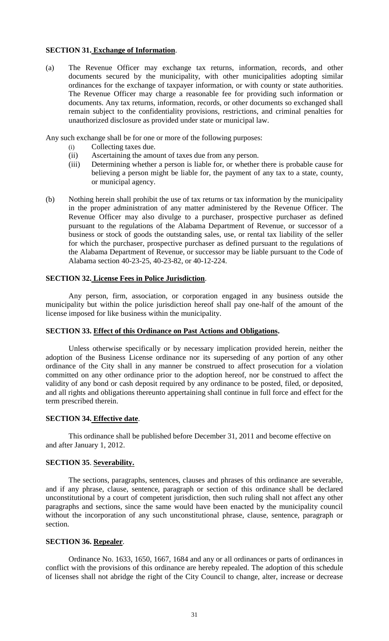### **SECTION 31. Exchange of Information**.

(a) The Revenue Officer may exchange tax returns, information, records, and other documents secured by the municipality, with other municipalities adopting similar ordinances for the exchange of taxpayer information, or with county or state authorities. The Revenue Officer may charge a reasonable fee for providing such information or documents. Any tax returns, information, records, or other documents so exchanged shall remain subject to the confidentiality provisions, restrictions, and criminal penalties for unauthorized disclosure as provided under state or municipal law.

Any such exchange shall be for one or more of the following purposes:

- (i) Collecting taxes due.
- (ii) Ascertaining the amount of taxes due from any person.
- (iii) Determining whether a person is liable for, or whether there is probable cause for believing a person might be liable for, the payment of any tax to a state, county, or municipal agency.
- (b) Nothing herein shall prohibit the use of tax returns or tax information by the municipality in the proper administration of any matter administered by the Revenue Officer. The Revenue Officer may also divulge to a purchaser, prospective purchaser as defined pursuant to the regulations of the Alabama Department of Revenue, or successor of a business or stock of goods the outstanding sales, use, or rental tax liability of the seller for which the purchaser, prospective purchaser as defined pursuant to the regulations of the Alabama Department of Revenue, or successor may be liable pursuant to the Code of Alabama section 40-23-25, 40-23-82, or 40-12-224.

## **SECTION 32. License Fees in Police Jurisdiction**.

Any person, firm, association, or corporation engaged in any business outside the municipality but within the police jurisdiction hereof shall pay one-half of the amount of the license imposed for like business within the municipality.

#### **SECTION 33. Effect of this Ordinance on Past Actions and Obligations.**

Unless otherwise specifically or by necessary implication provided herein, neither the adoption of the Business License ordinance nor its superseding of any portion of any other ordinance of the City shall in any manner be construed to affect prosecution for a violation committed on any other ordinance prior to the adoption hereof, nor be construed to affect the validity of any bond or cash deposit required by any ordinance to be posted, filed, or deposited, and all rights and obligations thereunto appertaining shall continue in full force and effect for the term prescribed therein.

## **SECTION 34. Effective date**.

This ordinance shall be published before December 31, 2011 and become effective on and after January 1, 2012.

#### **SECTION 35**. **Severability.**

The sections, paragraphs, sentences, clauses and phrases of this ordinance are severable, and if any phrase, clause, sentence, paragraph or section of this ordinance shall be declared unconstitutional by a court of competent jurisdiction, then such ruling shall not affect any other paragraphs and sections, since the same would have been enacted by the municipality council without the incorporation of any such unconstitutional phrase, clause, sentence, paragraph or section.

## **SECTION 36. Repealer**.

Ordinance No. 1633, 1650, 1667, 1684 and any or all ordinances or parts of ordinances in conflict with the provisions of this ordinance are hereby repealed. The adoption of this schedule of licenses shall not abridge the right of the City Council to change, alter, increase or decrease